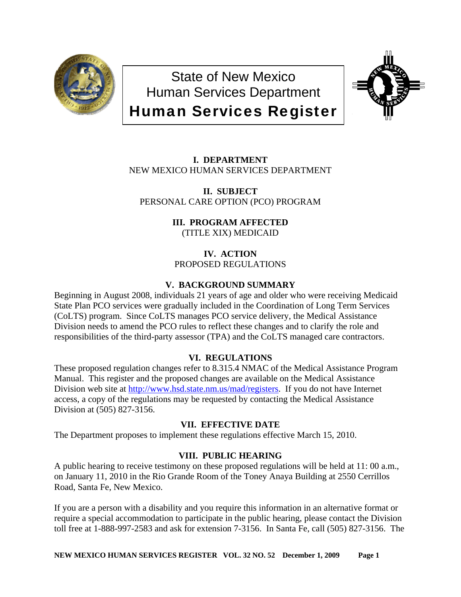

State of New Mexico Human Services Department Human Services Register



**I. DEPARTMENT** NEW MEXICO HUMAN SERVICES DEPARTMENT

**II. SUBJECT**  PERSONAL CARE OPTION (PCO) PROGRAM

> **III. PROGRAM AFFECTED** (TITLE XIX) MEDICAID

**IV. ACTION** PROPOSED REGULATIONS

# **V. BACKGROUND SUMMARY**

Beginning in August 2008, individuals 21 years of age and older who were receiving Medicaid State Plan PCO services were gradually included in the Coordination of Long Term Services (CoLTS) program. Since CoLTS manages PCO service delivery, the Medical Assistance Division needs to amend the PCO rules to reflect these changes and to clarify the role and responsibilities of the third-party assessor (TPA) and the CoLTS managed care contractors.

# **VI. REGULATIONS**

These proposed regulation changes refer to 8.315.4 NMAC of the Medical Assistance Program Manual. This register and the proposed changes are available on the Medical Assistance Division web site at [http://www.hsd.state.nm.us/mad/registers.](http://www.hsd.state.nm.us/mad/registers) If you do not have Internet access, a copy of the regulations may be requested by contacting the Medical Assistance Division at (505) 827-3156.

# **VII. EFFECTIVE DATE**

The Department proposes to implement these regulations effective March 15, 2010.

# **VIII. PUBLIC HEARING**

A public hearing to receive testimony on these proposed regulations will be held at 11: 00 a.m., on January 11, 2010 in the Rio Grande Room of the Toney Anaya Building at 2550 Cerrillos Road, Santa Fe, New Mexico.

If you are a person with a disability and you require this information in an alternative format or require a special accommodation to participate in the public hearing, please contact the Division toll free at 1-888-997-2583 and ask for extension 7-3156. In Santa Fe, call (505) 827-3156. The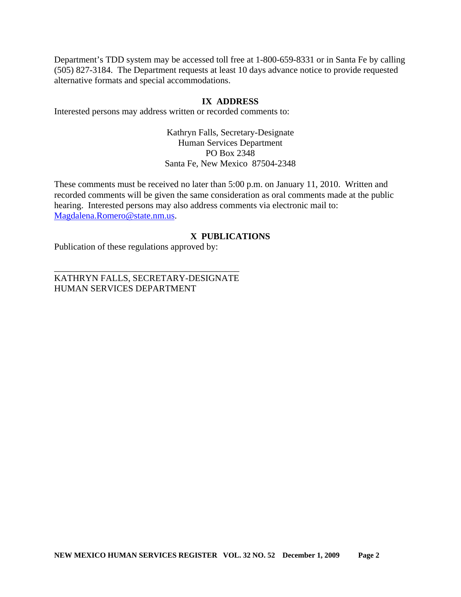Department's TDD system may be accessed toll free at 1-800-659-8331 or in Santa Fe by calling (505) 827-3184. The Department requests at least 10 days advance notice to provide requested alternative formats and special accommodations.

## **IX ADDRESS**

Interested persons may address written or recorded comments to:

Kathryn Falls, Secretary-Designate Human Services Department PO Box 2348 Santa Fe, New Mexico 87504-2348

These comments must be received no later than 5:00 p.m. on January 11, 2010. Written and recorded comments will be given the same consideration as oral comments made at the public hearing. Interested persons may also address comments via electronic mail to: [Magdalena.Romero@state.nm.us.](mailto:Magdalena.Romero@state.nm.us)

# **X PUBLICATIONS**

Publication of these regulations approved by:

KATHRYN FALLS, SECRETARY-DESIGNATE HUMAN SERVICES DEPARTMENT

\_\_\_\_\_\_\_\_\_\_\_\_\_\_\_\_\_\_\_\_\_\_\_\_\_\_\_\_\_\_\_\_\_\_\_\_\_\_\_\_\_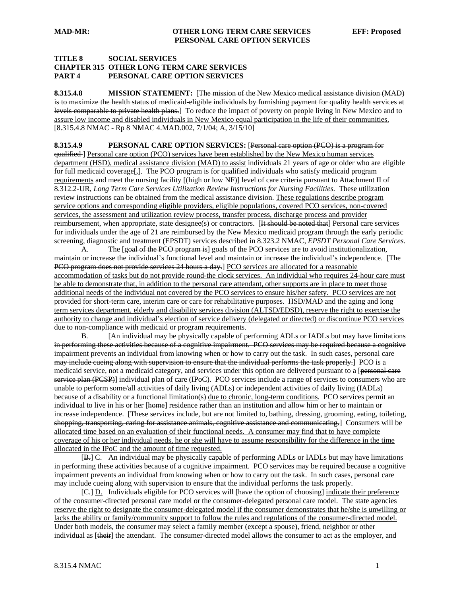### **TITLE 8 SOCIAL SERVICES CHAPTER 315 OTHER LONG TERM CARE SERVICES PART 4 PERSONAL CARE OPTION SERVICES**

**8.315.4.8 MISSION STATEMENT:** [The mission of the New Mexico medical assistance division (MAD) is to maximize the health status of medicaid eligible individuals by furnishing payment for quality health services at levels comparable to private health plans.] To reduce the impact of poverty on people living in New Mexico and to assure low income and disabled individuals in New Mexico equal participation in the life of their communities. [8.315.4.8 NMAC - Rp 8 NMAC 4.MAD.002, 7/1/04; A, 3/15/10]

**8.315.4.9 PERSONAL CARE OPTION SERVICES:** [Personal care option (PCO) is a program for qualified ] Personal care option (PCO) services have been established by the New Mexico human services department (HSD), medical assistance division (MAD) to assist individuals 21 years of age or older who are eligible for full medicaid coverage[ $_{7}$ ]. The PCO program is for qualified individuals who satisfy medicaid program requirements and meet the nursing facility [(high or low NF)] level of care criteria pursuant to Attachment II of 8.312.2-UR, *Long Term Care Services Utilization Review Instructions for Nursing Facilities*. These utilization review instructions can be obtained from the medical assistance division. These regulations describe program service options and corresponding eligible providers, eligible populations, covered PCO services, non-covered services, the assessment and utilization review process, transfer process, discharge process and provider reimbursement, when appropriate, state designee(s) or contractors. [It should be noted that] Personal care services for individuals under the age of 21 are reimbursed by the New Mexico medicaid program through the early periodic screening, diagnostic and treatment (EPSDT) services described in 8.323.2 NMAC, *EPSDT Personal Care Services*.

A. The [goal of the PCO program is] goals of the PCO services are to avoid institutionalization, maintain or increase the individual's functional level and maintain or increase the individual's independence. [The PCO program does not provide services 24 hours a day.] PCO services are allocated for a reasonable accommodation of tasks but do not provide round-the clock services. An individual who requires 24-hour care must be able to demonstrate that, in addition to the personal care attendant, other supports are in place to meet those additional needs of the individual not covered by the PCO services to ensure his/her safety. PCO services are not provided for short-term care, interim care or care for rehabilitative purposes. HSD/MAD and the aging and long term services department, elderly and disability services division (ALTSD/EDSD), reserve the right to exercise the authority to change and individual's election of service delivery (delegated or directed) or discontinue PCO services due to non-compliance with medicaid or program requirements.

 B. [An individual may be physically capable of performing ADLs or IADLs but may have limitations in performing these activities because of a cognitive impairment. PCO services may be required because a cognitive impairment prevents an individual from knowing when or how to carry out the task. In such cases, personal care may include cueing along with supervision to ensure that the individual performs the task properly.] PCO is a medicaid service, not a medicaid category, and services under this option are delivered pursuant to a [personal care service plan (PCSP)] individual plan of care (IPoC). PCO services include a range of services to consumers who are unable to perform some/all activities of daily living (ADLs) or independent activities of daily living (IADLs) because of a disability or a functional limitation(s) due to chronic, long-term conditions. PCO services permit an individual to live in his or her [home] residence rather than an institution and allow him or her to maintain or increase independence. [These services include, but are not limited to, bathing, dressing, grooming, eating, toileting, shopping, transporting, caring for assistance animals, cognitive assistance and communicating.] Consumers will be allocated time based on an evaluation of their functional needs. A consumer may find that to have complete coverage of his or her individual needs, he or she will have to assume responsibility for the difference in the time allocated in the IPoC and the amount of time requested.

[B.] C. An individual may be physically capable of performing ADLs or IADLs but may have limitations in performing these activities because of a cognitive impairment. PCO services may be required because a cognitive impairment prevents an individual from knowing when or how to carry out the task. In such cases, personal care may include cueing along with supervision to ensure that the individual performs the task properly.

[G.] D. Individuals eligible for PCO services will [have the option of choosing] indicate their preference of the consumer-directed personal care model or the consumer-delegated personal care model. The state agencies reserve the right to designate the consumer-delegated model if the consumer demonstrates that he/she is unwilling or lacks the ability or family/community support to follow the rules and regulations of the consumer-directed model. Under both models, the consumer may select a family member (except a spouse), friend, neighbor or other individual as [their] the attendant. The consumer-directed model allows the consumer to act as the employer, and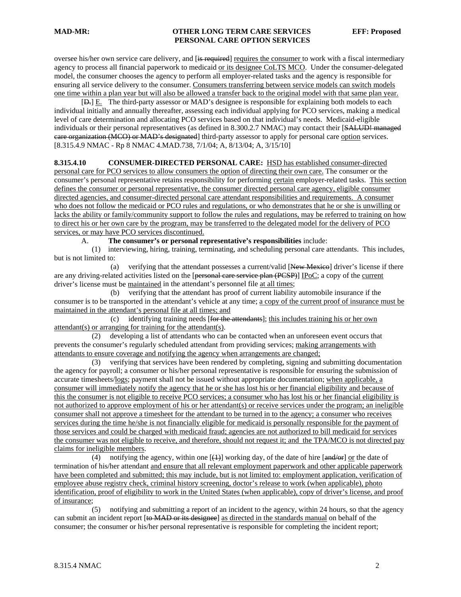oversee his/her own service care delivery, and [is required] requires the consumer to work with a fiscal intermediary agency to process all financial paperwork to medicaid or its designee CoLTS MCO. Under the consumer-delegated model, the consumer chooses the agency to perform all employer-related tasks and the agency is responsible for ensuring all service delivery to the consumer. Consumers transferring between service models can switch models one time within a plan year but will also be allowed a transfer back to the original model with that same plan year.

 [D.] E. The third-party assessor or MAD's designee is responsible for explaining both models to each individual initially and annually thereafter, assessing each individual applying for PCO services, making a medical level of care determination and allocating PCO services based on that individual's needs. Medicaid-eligible individuals or their personal representatives (as defined in 8.300.2.7 NMAC) may contact their [SALUD! managed care organization (MCO) or MAD's designated] third-party assessor to apply for personal care option services. [8.315.4.9 NMAC - Rp 8 NMAC 4.MAD.738, 7/1/04; A, 8/13/04; A, 3/15/10]

## **8.315.4.10 CONSUMER-DIRECTED PERSONAL CARE:** HSD has established consumer-directed

personal care for PCO services to allow consumers the option of directing their own care. The consumer or the consumer's personal representative retains responsibility for performing certain employer-related tasks. This section defines the consumer or personal representative, the consumer directed personal care agency, eligible consumer directed agencies, and consumer-directed personal care attendant responsibilities and requirements. A consumer who does not follow the medicaid or PCO rules and regulations, or who demonstrates that he or she is unwilling or lacks the ability or family/community support to follow the rules and regulations, may be referred to training on how to direct his or her own care by the program, may be transferred to the delegated model for the delivery of PCO services, or may have PCO services discontinued.

A. **The consumer's or personal representative's responsibilities** include:

 (1) interviewing, hiring, training, terminating, and scheduling personal care attendants. This includes, but is not limited to:

(a) verifying that the attendant possesses a current/valid  $New$  Mexicol driver's license if there are any driving-related activities listed on the [personal care service plan (PCSP)] IPoC; a copy of the current driver's license must be maintained in the attendant's personnel file at all times;

 (b) verifying that the attendant has proof of current liability automobile insurance if the consumer is to be transported in the attendant's vehicle at any time; a copy of the current proof of insurance must be maintained in the attendant's personal file at all times; and

 (c) identifying training needs [for the attendants]; this includes training his or her own attendant(s) or arranging for training for the attendant(s).

 (2) developing a list of attendants who can be contacted when an unforeseen event occurs that prevents the consumer's regularly scheduled attendant from providing services; making arrangements with attendants to ensure coverage and notifying the agency when arrangements are changed;

 (3) verifying that services have been rendered by completing, signing and submitting documentation the agency for payroll; a consumer or his/her personal representative is responsible for ensuring the submission of accurate timesheets/logs; payment shall not be issued without appropriate documentation; when applicable, a consumer will immediately notify the agency that he or she has lost his or her financial eligibility and because of this the consumer is not eligible to receive PCO services; a consumer who has lost his or her financial eligibility is not authorized to approve employment of his or her attendant(s) or receive services under the program; an ineligible consumer shall not approve a timesheet for the attendant to be turned in to the agency; a consumer who receives services during the time he/she is not financially eligible for medicaid is personally responsible for the payment of those services and could be charged with medicaid fraud; agencies are not authorized to bill medicaid for services the consumer was not eligible to receive, and therefore, should not request it; and the TPA/MCO is not directed pay claims for ineligible members.

(4) notifying the agency, within one  $[\frac{1}{2}]$  working day, of the date of hire  $[\frac{1}{2}]$  or the date of termination of his/her attendant and ensure that all relevant employment paperwork and other applicable paperwork have been completed and submitted; this may include, but is not limited to: employment application, verification of employee abuse registry check, criminal history screening, doctor's release to work (when applicable), photo identification, proof of eligibility to work in the United States (when applicable), copy of driver's license, and proof of insurance;

 (5) notifying and submitting a report of an incident to the agency, within 24 hours, so that the agency can submit an incident report [to MAD or its designee] as directed in the standards manual on behalf of the consumer; the consumer or his/her personal representative is responsible for completing the incident report;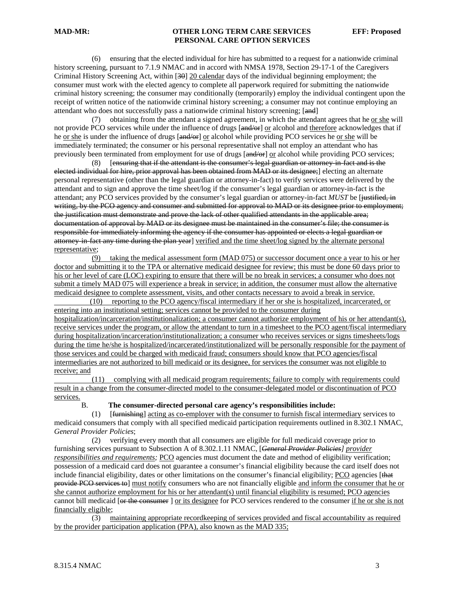(6) ensuring that the elected individual for hire has submitted to a request for a nationwide criminal history screening, pursuant to 7.1.9 NMAC and in accord with NMSA 1978, Section 29-17-1 of the Caregivers Criminal History Screening Act, within [30] 20 calendar days of the individual beginning employment; the consumer must work with the elected agency to complete all paperwork required for submitting the nationwide criminal history screening; the consumer may conditionally (temporarily) employ the individual contingent upon the receipt of written notice of the nationwide criminal history screening; a consumer may not continue employing an attendant who does not successfully pass a nationwide criminal history screening; [and]

 (7) obtaining from the attendant a signed agreement, in which the attendant agrees that he or she will not provide PCO services while under the influence of drugs [and/or] or alcohol and therefore acknowledges that if he or she is under the influence of drugs [and/or] or alcohol while providing PCO services he or she will be immediately terminated; the consumer or his personal representative shall not employ an attendant who has previously been terminated from employment for use of drugs [and/or] or alcohol while providing PCO services;

 (8) [ensuring that if the attendant is the consumer's legal guardian or attorney-in-fact and is the elected individual for hire, prior approval has been obtained from MAD or its designee;] electing an alternate personal representative (other than the legal guardian or attorney-in-fact) to verify services were delivered by the attendant and to sign and approve the time sheet/log if the consumer's legal guardian or attorney-in-fact is the attendant; any PCO services provided by the consumer's legal guardian or attorney-in-fact *MUST* be [justified, in writing, by the PCO agency and consumer and submitted for approval to MAD or its designee prior to employment; the justification must demonstrate and prove the lack of other qualified attendants in the applicable area; documentation of approval by MAD or its designee must be maintained in the consumer's file; the consumer is responsible for immediately informing the agency if the consumer has appointed or elects a legal guardian or attorney in fact any time during the plan year] verified and the time sheet/log signed by the alternate personal representative;

 (9) taking the medical assessment form (MAD 075) or successor document once a year to his or her doctor and submitting it to the TPA or alternative medicaid designee for review; this must be done 60 days prior to his or her level of care (LOC) expiring to ensure that there will be no break in services; a consumer who does not submit a timely MAD 075 will experience a break in service; in addition, the consumer must allow the alternative medicaid designee to complete assessment, visits, and other contacts necessary to avoid a break in service.

 (10) reporting to the PCO agency/fiscal intermediary if her or she is hospitalized, incarcerated, or entering into an institutional setting; services cannot be provided to the consumer during hospitalization/incarceration/institutionalization; a consumer cannot authorize employment of his or her attendant(s), receive services under the program, or allow the attendant to turn in a timesheet to the PCO agent/fiscal intermediary during hospitalization/incarceration/institutionalization; a consumer who receives services or signs timesheets/logs during the time he/she is hospitalized/incarcerated/institutionalized will be personally responsible for the payment of those services and could be charged with medicaid fraud; consumers should know that PCO agencies/fiscal intermediaries are not authorized to bill medicaid or its designee, for services the consumer was not eligible to receive; and

 (11) complying with all medicaid program requirements; failure to comply with requirements could result in a change from the consumer-directed model to the consumer-delegated model or discontinuation of PCO services.

B. **The consumer-directed personal care agency's responsibilities include:**

 (1) [furnishing] acting as co-employer with the consumer to furnish fiscal intermediary services to medicaid consumers that comply with all specified medicaid participation requirements outlined in 8.302.1 NMAC, *General Provider Policies*;

 (2) verifying every month that all consumers are eligible for full medicaid coverage prior to furnishing services pursuant to Subsection A of 8.302.1.11 NMAC, [*General Provider Policies] provider responsibilities and requirements;* PCO agencies must document the date and method of eligibility verification; possession of a medicaid card does not guarantee a consumer's financial eligibility because the card itself does not include financial eligibility, dates or other limitations on the consumer's financial eligibility; PCO agencies [that provide PCO services to] must notify consumers who are not financially eligible and inform the consumer that he or she cannot authorize employment for his or her attendant(s) until financial eligibility is resumed; PCO agencies cannot bill medicaid [or the consumer ] or its designee for PCO services rendered to the consumer if he or she is not financially eligible;

 (3) maintaining appropriate recordkeeping of services provided and fiscal accountability as required by the provider participation application (PPA), also known as the MAD 335;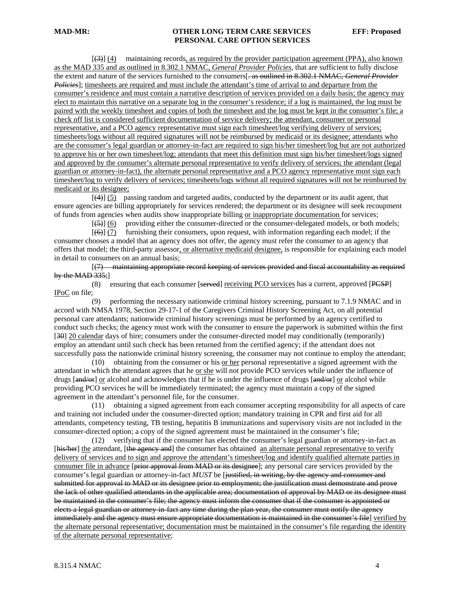[(3)] (4) maintaining records, as required by the provider participation agreement (PPA), also known as the MAD 335 and as outlined in 8.302.1 NMAC, *General Provider Policies*, that are sufficient to fully disclose the extent and nature of the services furnished to the consumers[. as outlined in 8.302.1 NMAC, *General Provider Policies*]; timesheets are required and must include the attendant's time of arrival to and departure from the consumer's residence and must contain a narrative description of services provided on a daily basis; the agency may elect to maintain this narrative on a separate log in the consumer's residence; if a log is maintained, the log must be paired with the weekly timesheet and copies of both the timesheet and the log must be kept in the consumer's file; a check off list is considered sufficient documentation of service delivery; the attendant, consumer or personal representative, and a PCO agency representative must sign each timesheet/log verifying delivery of services; timesheets/logs without all required signatures will not be reimbursed by medicaid or its designee; attendants who are the consumer's legal guardian or attorney-in-fact are required to sign his/her timesheet/log but are not authorized to approve his or her own timesheet/log; attendants that meet this definition must sign his/her timesheet/logs signed and approved by the consumer's alternate personal representative to verify delivery of services; the attendant (legal guardian or attorney-in-fact), the alternate personal representative and a PCO agency representative must sign each timesheet/log to verify delivery of services; timesheets/logs without all required signatures will not be reimbursed by medicaid or its designee;

 [(4)] (5) passing random and targeted audits, conducted by the department or its audit agent, that ensure agencies are billing appropriately for services rendered; the department or its designee will seek recoupment of funds from agencies when audits show inappropriate billing or inappropriate documentation for services;

 $[5]$  (6) providing either the consumer-directed or the consumer-delegated models, or both models;

 $[66]$  (7) furnishing their consumers, upon request, with information regarding each model; if the consumer chooses a model that an agency does not offer, the agency must refer the consumer to an agency that offers that model; the third-party assessor, or alternative medicaid designee, is responsible for explaining each model in detail to consumers on an annual basis;

 [(7) maintaining appropriate record keeping of services provided and fiscal accountability as required by the MAD 335;]

 (8) ensuring that each consumer [served] receiving PCO services has a current, approved [PCSP] IPoC on file;

 (9) performing the necessary nationwide criminal history screening, pursuant to 7.1.9 NMAC and in accord with NMSA 1978, Section 29-17-1 of the Caregivers Criminal History Screening Act, on all potential personal care attendants; nationwide criminal history screenings must be performed by an agency certified to conduct such checks; the agency must work with the consumer to ensure the paperwork is submitted within the first [30] 20 calendar days of hire; consumers under the consumer-directed model may conditionally (temporarily) employ an attendant until such check has been returned from the certified agency; if the attendant does not successfully pass the nationwide criminal history screening, the consumer may not continue to employ the attendant;

 (10) obtaining from the consumer or his or her personal representative a signed agreement with the attendant in which the attendant agrees that he or she will not provide PCO services while under the influence of drugs [and/or] or alcohol and acknowledges that if he is under the influence of drugs [and/or] or alcohol while providing PCO services he will be immediately terminated; the agency must maintain a copy of the signed agreement in the attendant's personnel file, for the consumer.

 (11) obtaining a signed agreement from each consumer accepting responsibility for all aspects of care and training not included under the consumer-directed option; mandatory training in CPR and first aid for all attendants, competency testing, TB testing, hepatitis B immunizations and supervisory visits are not included in the consumer-directed option; a copy of the signed agreement must be maintained in the consumer's file;

 (12) verifying that if the consumer has elected the consumer's legal guardian or attorney-in-fact as [his/her] the attendant, [the agency and] the consumer has obtained an alternate personal representative to verify delivery of services and to sign and approve the attendant's timesheet/log and identify qualified alternate parties in consumer file in advance [prior approval from MAD or its designee]; any personal care services provided by the consumer's legal guardian or attorney-in-fact *MUST* be [justified, in writing, by the agency and consumer and submitted for approval to MAD or its designee prior to employment; the justification must demonstrate and prove the lack of other qualified attendants in the applicable area; documentation of approval by MAD or its designee must be maintained in the consumer's file; the agency must inform the consumer that if the consumer is appointed or elects a legal guardian or attorney in-fact any time during the plan year, the consumer must notify the agency immediately and the agency must ensure appropriate documentation is maintained in the consumer's file] verified by the alternate personal representative; documentation must be maintained in the consumer's file regarding the identity of the alternate personal representative;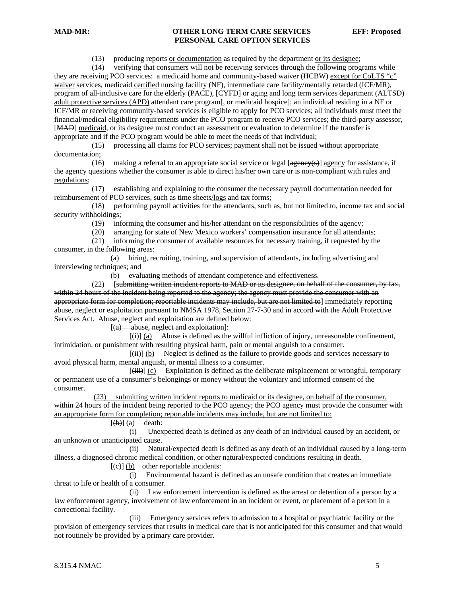(13) producing reports or documentation as required by the department or its designee;

 (14) verifying that consumers will not be receiving services through the following programs while they are receiving PCO services: a medicaid home and community-based waiver (HCBW) except for CoLTS "c" waiver services, medicaid certified nursing facility (NF), intermediate care facility/mentally retarded (ICF/MR), program of all-inclusive care for the elderly (PACE), [CYFD] or aging and long term services department (ALTSD) adult protective services (APD) attendant care program[, or medicaid hospice]; an individual residing in a NF or ICF/MR or receiving community-based services is eligible to apply for PCO services; all individuals must meet the financial/medical eligibility requirements under the PCO program to receive PCO services; the third-party assessor, [MAD] medicaid, or its designee must conduct an assessment or evaluation to determine if the transfer is appropriate and if the PCO program would be able to meet the needs of that individual;

 (15) processing all claims for PCO services; payment shall not be issued without appropriate documentation;

(16) making a referral to an appropriate social service or legal  $[$ agency for assistance, if the agency questions whether the consumer is able to direct his/her own care or is non-compliant with rules and regulations;

 (17) establishing and explaining to the consumer the necessary payroll documentation needed for reimbursement of PCO services, such as time sheets/logs and tax forms;

 (18) performing payroll activities for the attendants, such as, but not limited to, income tax and social security withholdings;

(19) informing the consumer and his/her attendant on the responsibilities of the agency;

(20) arranging for state of New Mexico workers' compensation insurance for all attendants;

 (21) informing the consumer of available resources for necessary training, if requested by the consumer, in the following areas:

 (a) hiring, recruiting, training, and supervision of attendants, including advertising and interviewing techniques; and

(b) evaluating methods of attendant competence and effectiveness.

 (22) [submitting written incident reports to MAD or its designee, on behalf of the consumer, by fax, within 24 hours of the incident being reported to the agency; the agency must provide the consumer with an appropriate form for completion; reportable incidents may include, but are not limited to mimediately reporting abuse, neglect or exploitation pursuant to NMSA 1978, Section 27-7-30 and in accord with the Adult Protective Services Act. Abuse, neglect and exploitation are defined below:

[(a) abuse, neglect and exploitation]:

 $\overline{f(i)}$  (a) Abuse is defined as the willful infliction of injury, unreasonable confinement, intimidation, or punishment with resulting physical harm, pain or mental anguish to a consumer.

 $[\overrightarrow{iii}]$  (b) Neglect is defined as the failure to provide goods and services necessary to avoid physical harm, mental anguish, or mental illness to a consumer.

 $[\overline{\text{(iii)}}]$  (c) Exploitation is defined as the deliberate misplacement or wrongful, temporary or permanent use of a consumer's belongings or money without the voluntary and informed consent of the consumer.

 (23) submitting written incident reports to medicaid or its designee, on behalf of the consumer, within 24 hours of the incident being reported to the PCO agency; the PCO agency must provide the consumer with an appropriate form for completion; reportable incidents may include, but are not limited to:

 $[\left(\mathbf{b}\right)]$  (a) death:

 (i) Unexpected death is defined as any death of an individual caused by an accident, or an unknown or unanticipated cause.

 (ii) Natural/expected death is defined as any death of an individual caused by a long-term illness, a diagnosed chronic medical condition, or other natural/expected conditions resulting in death.

 $[\text{e}]$  (b) other reportable incidents:

 (i) Environmental hazard is defined as an unsafe condition that creates an immediate threat to life or health of a consumer.

 (ii) Law enforcement intervention is defined as the arrest or detention of a person by a law enforcement agency, involvement of law enforcement in an incident or event, or placement of a person in a correctional facility.

 (iii) Emergency services refers to admission to a hospital or psychiatric facility or the provision of emergency services that results in medical care that is not anticipated for this consumer and that would not routinely be provided by a primary care provider.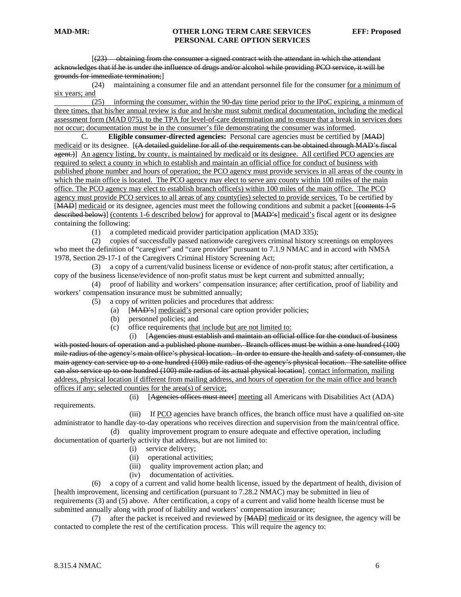[(23) obtaining from the consumer a signed contract with the attendant in which the attendant acknowledges that if he is under the influence of drugs and/or alcohol while providing PCO service, it will be grounds for immediate termination;]

 (24) maintaining a consumer file and an attendant personnel file for the consumer for a minimum of six years; and

 (25) informing the consumer, within the 90-day time period prior to the IPoC expiring, a minmum of three times, that his/her annual review is due and he/she must submit medical documentation, including the medical assessment form (MAD 075), to the TPA for level-of-care determination and to ensure that a break in services does not occur; documentation must be in the consumer's file demonstrating the consumer was informed.

 C. **Eligible consumer-directed agencies:** Personal care agencies must be certified by [MAD] medicaid or its designee. [(A detailed guideline for all of the requirements can be obtained through MAD's fiscal agent.) An agency listing, by county, is maintained by medicaid or its designee. All certified PCO agencies are required to select a county in which to establish and maintain an official office for conduct of business with published phone number and hours of operation; the PCO agency must provide services in all areas of the county in which the main office is located. The PCO agency may elect to serve any county within 100 miles of the main office. The PCO agency may elect to establish branch office(s) within 100 miles of the main office. The PCO agency must provide PCO services to all areas of any county(ies) selected to provide services. To be certified by [MAD] medicaid or its designee, agencies must meet the following conditions and submit a packet [(contents 1-5 described below)] (contents 1-6 described below) for approval to [MAD's] medicaid's fiscal agent or its designee containing the following:

(1) a completed medicaid provider participation application (MAD 335);

 (2) copies of successfully passed nationwide caregivers criminal history screenings on employees who meet the definition of "caregiver" and "care provider" pursuant to 7.1.9 NMAC and in accord with NMSA 1978, Section 29-17-1 of the Caregivers Criminal History Screening Act;

 (3) a copy of a current/valid business license or evidence of non-profit status; after certification, a copy of the business license/evidence of non-profit status must be kept current and submitted annually;

 (4) proof of liability and workers' compensation insurance; after certification, proof of liability and workers' compensation insurance must be submitted annually;

- (5) a copy of written policies and procedures that address:
	- (a) [MAD's] medicaid's personal care option provider policies;
	- (b) personnel policies; and
	- (c) office requirements that include but are not limited to:

 (i) [Agencies must establish and maintain an official office for the conduct of business with posted hours of operation and a published phone number. Branch offices must be within a one hundred (100) mile radius of the agency's main office's physical location. In order to ensure the health and safety of consumer, the main agency can service up to a one hundred (100) mile radius of the agency's physical location. The satellite office can also service up to one hundred (100) mile radius of its actual physical location]. contact information, mailing address, physical location if different from mailing address, and hours of operation for the main office and branch offices if any; selected counties for the area(s) of service;

requirements.

(ii) [Agencies offices must meet] meeting all Americans with Disabilities Act (ADA)

 (iii) If PCO agencies have branch offices, the branch office must have a qualified on-site administrator to handle day-to-day operations who receives direction and supervision from the main/central office. (d) quality improvement program to ensure adequate and effective operation, including

documentation of quarterly activity that address, but are not limited to:

- (i) service delivery;
- (ii) operational activities;
- (iii) quality improvement action plan; and
- (iv) documentation of activities.

 (6) a copy of a current and valid home health license, issued by the department of health, division of [health improvement, licensing and certification (pursuant to 7.28.2 NMAC) may be submitted in lieu of requirements (3) and (5) above. After certification, a copy of a current and valid home health license must be submitted annually along with proof of liability and workers' compensation insurance;

 (7) after the packet is received and reviewed by [MAD] medicaid or its designee, the agency will be contacted to complete the rest of the certification process. This will require the agency to: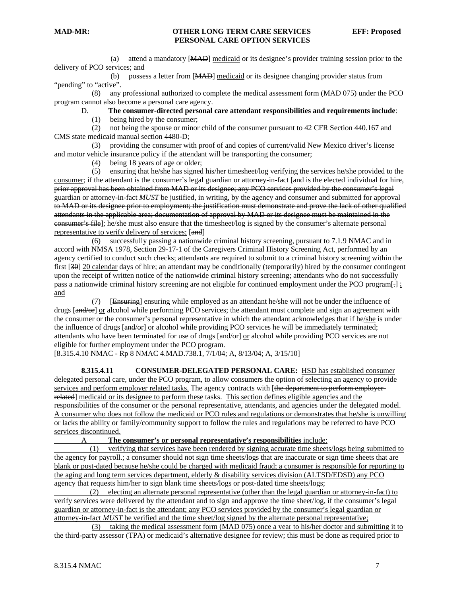(a) attend a mandatory [MAD] medicaid or its designee's provider training session prior to the delivery of PCO services; and

 (b) possess a letter from [MAD] medicaid or its designee changing provider status from "pending" to "active".

 (8) any professional authorized to complete the medical assessment form (MAD 075) under the PCO program cannot also become a personal care agency.

### D. **The consumer-directed personal care attendant responsibilities and requirements include**:

(1) being hired by the consumer;

 (2) not being the spouse or minor child of the consumer pursuant to 42 CFR Section 440.167 and CMS state medicaid manual section 4480-D;

 (3) providing the consumer with proof of and copies of current/valid New Mexico driver's license and motor vehicle insurance policy if the attendant will be transporting the consumer;

(4) being 18 years of age or older;

 (5) ensuring that he/she has signed his/her timesheet/log verifying the services he/she provided to the consumer; if the attendant is the consumer's legal guardian or attorney-in-fact [and is the elected individual for hire, prior approval has been obtained from MAD or its designee; any PCO services provided by the consumer's legal guardian or attorney-in-fact *MUST* be justified, in writing, by the agency and consumer and submitted for approval to MAD or its designee prior to employment; the justification must demonstrate and prove the lack of other qualified attendants in the applicable area; documentation of approval by MAD or its designee must be maintained in the consumer's file]; he/she must also ensure that the timesheet/log is signed by the consumer's alternate personal representative to verify delivery of services; [and]

 (6) successfully passing a nationwide criminal history screening, pursuant to 7.1.9 NMAC and in accord with NMSA 1978, Section 29-17-1 of the Caregivers Criminal History Screening Act, performed by an agency certified to conduct such checks; attendants are required to submit to a criminal history screening within the first [30] 20 calendar days of hire; an attendant may be conditionally (temporarily) hired by the consumer contingent upon the receipt of written notice of the nationwide criminal history screening; attendants who do not successfully pass a nationwide criminal history screening are not eligible for continued employment under the PCO program[.] ; and

 (7) [Ensuring] ensuring while employed as an attendant he/she will not be under the influence of drugs [and/or] or alcohol while performing PCO services; the attendant must complete and sign an agreement with the consumer or the consumer's personal representative in which the attendant acknowledges that if he/she is under the influence of drugs [and/or] or alcohol while providing PCO services he will be immediately terminated; attendants who have been terminated for use of drugs [and/or] or alcohol while providing PCO services are not eligible for further employment under the PCO program.

[8.315.4.10 NMAC - Rp 8 NMAC 4.MAD.738.1, 7/1/04; A, 8/13/04; A, 3/15/10]

**8.315.4.11 CONSUMER-DELEGATED PERSONAL CARE:** HSD has established consumer delegated personal care, under the PCO program, to allow consumers the option of selecting an agency to provide services and perform employer related tasks. The agency contracts with [the department to perform employerrelated] medicaid or its designee to perform these tasks. This section defines eligible agencies and the responsibilities of the consumer or the personal representative, attendants, and agencies under the delegated model. A consumer who does not follow the medicaid or PCO rules and regulations or demonstrates that he/she is unwilling or lacks the ability or family/community support to follow the rules and regulations may be referred to have PCO services discontinued.

A **The consumer's or personal representative's responsibilities** include:

 (1) verifying that services have been rendered by signing accurate time sheets/logs being submitted to the agency for payroll.; a consumer should not sign time sheets/logs that are inaccurate or sign time sheets that are blank or post-dated because he/she could be charged with medicaid fraud; a consumer is responsible for reporting to the aging and long term services department, elderly & disability services division (ALTSD/EDSD) any PCO agency that requests him/her to sign blank time sheets/logs or post-dated time sheets/logs;

 (2) electing an alternate personal representative (other than the legal guardian or attorney-in-fact) to verify services were delivered by the attendant and to sign and approve the time sheet/log, if the consumer's legal guardian or attorney-in-fact is the attendant; any PCO services provided by the consumer's legal guardian or attorney-in-fact *MUST* be verified and the time sheet/log signed by the alternate personal representative;

 (3) taking the medical assessment form (MAD 075) once a year to his/her doctor and submitting it to the third-party assessor (TPA) or medicaid's alternative designee for review; this must be done as required prior to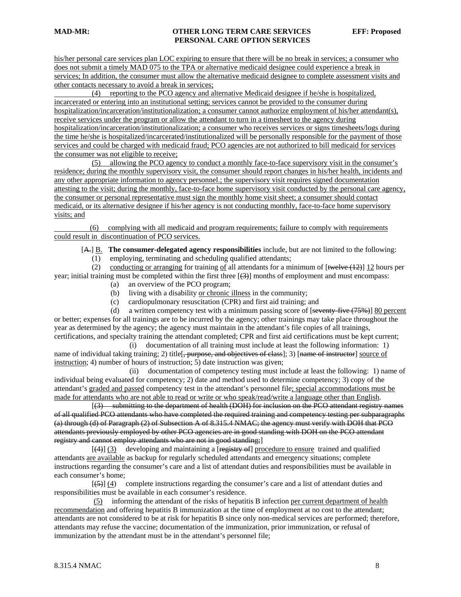his/her personal care services plan LOC expiring to ensure that there will be no break in services; a consumer who does not submit a timely MAD 075 to the TPA or alternative medicaid designee could experience a break in services; In addition, the consumer must allow the alternative medicaid designee to complete assessment visits and other contacts necessary to avoid a break in services;

 (4) reporting to the PCO agency and alternative Medicaid designee if he/she is hospitalized, incarcerated or entering into an institutional setting; services cannot be provided to the consumer during hospitalization/incarceration/institutionalization; a consumer cannot authorize employment of his/her attendant(s), receive services under the program or allow the attendant to turn in a timesheet to the agency during hospitalization/incarceration/institutionalization; a consumer who receives services or signs timesheets/logs during the time he/she is hospitalized/incarcerated/institutionalized will be personally responsible for the payment of those services and could be charged with medicaid fraud; PCO agencies are not authorized to bill medicaid for services the consumer was not eligible to receive;

 (5) allowing the PCO agency to conduct a monthly face-to-face supervisory visit in the consumer's residence; during the monthly supervisory visit, the consumer should report changes in his/her health, incidents and any other appropriate information to agency personnel.; the supervisory visit requires signed documentation attesting to the visit; during the monthly, face-to-face home supervisory visit conducted by the personal care agency, the consumer or personal representative must sign the monthly home visit sheet; a consumer should contact medicaid, or its alternative designee if his/her agency is not conducting monthly, face-to-face home supervisory visits; and

 (6) complying with all medicaid and program requirements; failure to comply with requirements could result in discontinuation of PCO services.

[A.] B. **The consumer-delegated agency responsibilities** include, but are not limited to the following:

(1) employing, terminating and scheduling qualified attendants;

(2) conducting or arranging for training of all attendants for a minimum of  $[\text{twelve (12)}]$  12 hours per year; initial training must be completed within the first three  $[$ (3)] months of employment and must encompass:

- (a) an overview of the PCO program;
- (b) living with a disability or chronic illness in the community;
- (c) cardiopulmonary resuscitation (CPR) and first aid training; and

(d) a written competency test with a minimum passing score of  $[$ seventy-five  $(75%)$ ] 80 percent or better; expenses for all trainings are to be incurred by the agency; other trainings may take place throughout the year as determined by the agency; the agency must maintain in the attendant's file copies of all trainings, certifications, and specialty training the attendant completed; CPR and first aid certifications must be kept current;

 (i) documentation of all training must include at least the following information: 1) name of individual taking training; 2) title[, purpose, and objectives of class]; 3) [name of instructor] source of instruction; 4) number of hours of instruction; 5) date instruction was given;

 (ii) documentation of competency testing must include at least the following: 1) name of individual being evaluated for competency; 2) date and method used to determine competency; 3) copy of the attendant's graded and passed competency test in the attendant's personnel file; special accommodations must be made for attendants who are not able to read or write or who speak/read/write a language other than English.

 [(3) submitting to the department of health (DOH) for inclusion on the PCO attendant registry names of all qualified PCO attendants who have completed the required training and competency testing per subparagraphs (a) through (d) of Paragraph (2) of Subsection A of 8.315.4 NMAC; the agency must verify with DOH that PCO attendants previously employed by other PCO agencies are in good standing with DOH on the PCO attendant registry and cannot employ attendants who are not in good standing;]

 $[(4)]$  (3) developing and maintaining a [registry of] procedure to ensure trained and qualified attendants are available as backup for regularly scheduled attendants and emergency situations; complete instructions regarding the consumer's care and a list of attendant duties and responsibilities must be available in each consumer's home;

 $[(-5)]$  (4) complete instructions regarding the consumer's care and a list of attendant duties and responsibilities must be available in each consumer's residence.

 (5) informing the attendant of the risks of hepatitis B infection per current department of health recommendation and offering hepatitis B immunization at the time of employment at no cost to the attendant; attendants are not considered to be at risk for hepatitis B since only non-medical services are performed; therefore, attendants may refuse the vaccine; documentation of the immunization, prior immunization, or refusal of immunization by the attendant must be in the attendant's personnel file;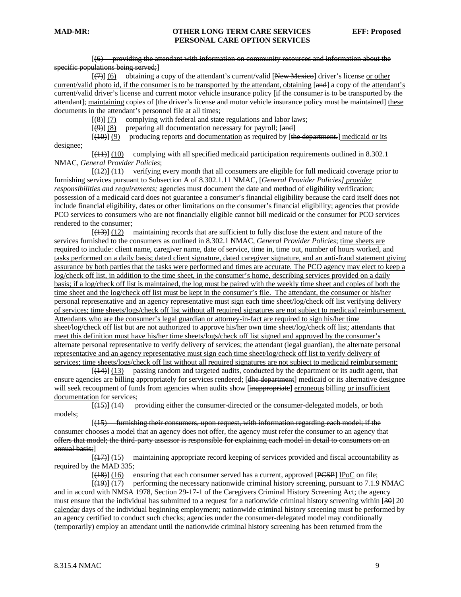[(6) providing the attendant with information on community resources and information about the specific populations being served;]

 $[\overline{(7)}]$  (6) obtaining a copy of the attendant's current/valid [New Mexico] driver's license or other current/valid photo id, if the consumer is to be transported by the attendant, obtaining [and] a copy of the attendant's current/valid driver's license and current motor vehicle insurance policy [if the consumer is to be transported by the attendant]; maintaining copies of [the driver's license and motor vehicle insurance policy must be maintained] these documents in the attendant's personnel file at all times;

 $[$ (8)] (7) complying with federal and state regulations and labor laws;

 $[\frac{(\varphi)}{(\varphi)}]$  (8) preparing all documentation necessary for payroll; [and]

 $[$ (40)] (9) producing reports and documentation as required by [the department.] medicaid or its

designee;

 [(11)] (10) complying with all specified medicaid participation requirements outlined in 8.302.1 NMAC, *General Provider Policies*;

 $[$ ( $\frac{12}{2}$ ) $]$  (11) verifying every month that all consumers are eligible for full medicaid coverage prior to furnishing services pursuant to Subsection A of 8.302.1.11 NMAC, [*General Provider Policies] provider responsibilities and requirements;* agencies must document the date and method of eligibility verification; possession of a medicaid card does not guarantee a consumer's financial eligibility because the card itself does not include financial eligibility, dates or other limitations on the consumer's financial eligibility; agencies that provide PCO services to consumers who are not financially eligible cannot bill medicaid or the consumer for PCO services rendered to the consumer;

 [(13)] (12) maintaining records that are sufficient to fully disclose the extent and nature of the services furnished to the consumers as outlined in 8.302.1 NMAC, *General Provider Policies*; time sheets are required to include: client name, caregiver name, date of service, time in, time out, number of hours worked, and tasks performed on a daily basis; dated client signature, dated caregiver signature, and an anti-fraud statement giving assurance by both parties that the tasks were performed and times are accurate. The PCO agency may elect to keep a log/check off list, in addition to the time sheet, in the consumer's home, describing services provided on a daily basis; if a log/check off list is maintained, the log must be paired with the weekly time sheet and copies of both the time sheet and the log/check off list must be kept in the consumer's file. The attendant, the consumer or his/her personal representative and an agency representative must sign each time sheet/log/check off list verifying delivery of services; time sheets/logs/check off list without all required signatures are not subject to medicaid reimbursement. Attendants who are the consumer's legal guardian or attorney-in-fact are required to sign his/her time sheet/log/check off list but are not authorized to approve his/her own time sheet/log/check off list; attendants that meet this definition must have his/her time sheets/logs/check off list signed and approved by the consumer's alternate personal representative to verify delivery of services; the attendant (legal guardian), the alternate personal representative and an agency representative must sign each time sheet/log/check off list to verify delivery of services; time sheets/logs/check off list without all required signatures are not subject to medicaid reimbursement;

 [(14)] (13) passing random and targeted audits, conducted by the department or its audit agent, that ensure agencies are billing appropriately for services rendered; [<del>dhe department</del>] medicaid or its alternative designee will seek recoupment of funds from agencies when audits show [inappropriate] erroneous billing or insufficient documentation for services;

 $[45]$  (14) providing either the consumer-directed or the consumer-delegated models, or both models;

 [(15) furnishing their consumers, upon request, with information regarding each model; if the consumer chooses a model that an agency does not offer, the agency must refer the consumer to an agency that offers that model; the third-party assessor is responsible for explaining each model in detail to consumers on an annual basis;]

 $[$ ( $[$ ( $[$  $]$  $[$  $]$  $[$  $]$  $[$  $]$  $]$  $[$  $]$  $[$  $]$  $[$  $]$  $[$  $]$  $[$  $]$  $[$  $]$  $[$  $]$  $[$  $]$  $[$  $]$  $[$  $]$  $[$  $]$  $[$  $]$  $[$  $]$  $[$  $]$  $[$  $]$  $[$  $]$  $[$  $]$  $[$  $]$  $[$  $]$  $[$  $]$  $[$  $]$  $[$  $]$  $[$  $]$  $[$  $]$  $[$  $]$  $[$  $]$  $[$  $]$  $[$  $]$  $[$  $]$  $[$  $]$  $[$  $]$ required by the MAD 335;

[(18)] (16) ensuring that each consumer served has a current, approved [PCSP] IPoC on file;

 $[$ ( $[$ 49)] $]$  (17) performing the necessary nationwide criminal history screening, pursuant to 7.1.9 NMAC and in accord with NMSA 1978, Section 29-17-1 of the Caregivers Criminal History Screening Act; the agency must ensure that the individual has submitted to a request for a nationwide criminal history screening within [30] 20 calendar days of the individual beginning employment; nationwide criminal history screening must be performed by an agency certified to conduct such checks; agencies under the consumer-delegated model may conditionally (temporarily) employ an attendant until the nationwide criminal history screening has been returned from the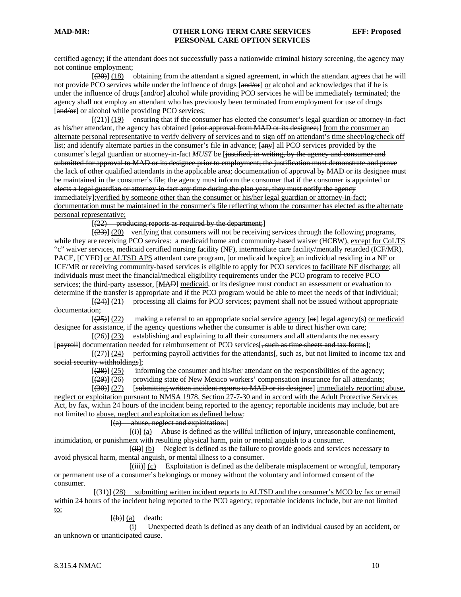certified agency; if the attendant does not successfully pass a nationwide criminal history screening, the agency may not continue employment;

 $[20]$  (18) obtaining from the attendant a signed agreement, in which the attendant agrees that he will not provide PCO services while under the influence of drugs [and/or] or alcohol and acknowledges that if he is under the influence of drugs [and/or] alcohol while providing PCO services he will be immediately terminated; the agency shall not employ an attendant who has previously been terminated from employment for use of drugs [and/or] or alcohol while providing PCO services;

 $[\frac{21}{2}]$  (19) ensuring that if the consumer has elected the consumer's legal guardian or attorney-in-fact as his/her attendant, the agency has obtained [prior approval from MAD or its designee;] from the consumer an alternate personal representative to verify delivery of services and to sign off on attendant's time sheet/log/check off list; and identify alternate parties in the consumer's file in advance;  $\frac{2}{(am + 1)}$  all PCO services provided by the consumer's legal guardian or attorney-in-fact *MUST* be [justified, in writing, by the agency and consumer and submitted for approval to MAD or its designee prior to employment; the justification must demonstrate and prove the lack of other qualified attendants in the applicable area; documentation of approval by MAD or its designee must be maintained in the consumer's file; the agency must inform the consumer that if the consumer is appointed or elects a legal guardian or attorney in fact any time during the plan year, they must notify the agency immediately];verified by someone other than the consumer or his/her legal guardian or attorney-in-fact; documentation must be maintained in the consumer's file reflecting whom the consumer has elected as the alternate personal representative;

[(22) producing reports as required by the department;]

 $[$ ( $\overline{23}$ )] (20) verifying that consumers will not be receiving services through the following programs, while they are receiving PCO services: a medicaid home and community-based waiver (HCBW), except for CoLTS "c" waiver services, medicaid certified nursing facility (NF), intermediate care facility/mentally retarded (ICF/MR), PACE, [CYFD] or ALTSD APS attendant care program, [or medicaid hospice]; an individual residing in a NF or ICF/MR or receiving community-based services is eligible to apply for PCO services to facilitate NF discharge; all individuals must meet the financial/medical eligibility requirements under the PCO program to receive PCO services; the third-party assessor, [MAD] medicaid, or its designee must conduct an assessment or evaluation to determine if the transfer is appropriate and if the PCO program would be able to meet the needs of that individual;

 [(24)] (21) processing all claims for PCO services; payment shall not be issued without appropriate documentation;

 $[$ (25)] (22) making a referral to an appropriate social service agency [ $\Theta$ r] legal agency(s) or medicaid designee for assistance, if the agency questions whether the consumer is able to direct his/her own care;

 $[26]$  (23) establishing and explaining to all their consumers and all attendants the necessary [payroll] documentation needed for reimbursement of PCO services[, such as time sheets and tax forms];

[(27)] (24) performing payroll activities for the attendants[, such as, but not limited to income tax and social security withholdings]:

 $[$ ( $(28)$ ) $[$ ( $(25)$ ) informing the consumer and his/her attendant on the responsibilities of the agency;

 $[$ ( $\overline{29}$ )] (26) providing state of New Mexico workers' compensation insurance for all attendants;

 $[30]$  (27) [submitting written incident reports to MAD or its designee] immediately reporting abuse, neglect or exploitation pursuant to NMSA 1978, Section 27-7-30 and in accord with the Adult Protective Services Act, by fax, within 24 hours of the incident being reported to the agency; reportable incidents may include, but are

not limited to abuse, neglect and exploitation as defined below:

 $[(a)$  abuse, neglect and exploitation:

 $\overline{f}(i)$  (a) Abuse is defined as the willful infliction of injury, unreasonable confinement, intimidation, or punishment with resulting physical harm, pain or mental anguish to a consumer.

 $[\overline{\text{iii}}]$  (b) Neglect is defined as the failure to provide goods and services necessary to avoid physical harm, mental anguish, or mental illness to a consumer.

 $[\overline{\text{(iii)}}]$  (c) Exploitation is defined as the deliberate misplacement or wrongful, temporary or permanent use of a consumer's belongings or money without the voluntary and informed consent of the consumer.

 [(31)] (28) submitting written incident reports to ALTSD and the consumer's MCO by fax or email within 24 hours of the incident being reported to the PCO agency; reportable incidents include, but are not limited to:

 $[\left(\mathbf{b}\right)]$  (a) death:

 (i) Unexpected death is defined as any death of an individual caused by an accident, or an unknown or unanticipated cause.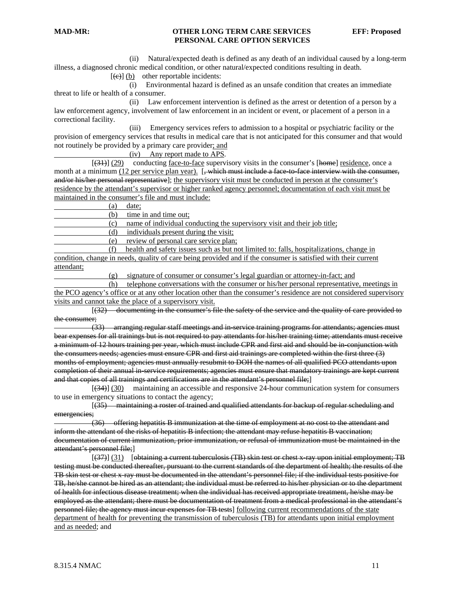(ii) Natural/expected death is defined as any death of an individual caused by a long-term illness, a diagnosed chronic medical condition, or other natural/expected conditions resulting in death.

 $[\text{e}(\text{e})]$  (b) other reportable incidents:

 (i) Environmental hazard is defined as an unsafe condition that creates an immediate threat to life or health of a consumer.

 (ii) Law enforcement intervention is defined as the arrest or detention of a person by a law enforcement agency, involvement of law enforcement in an incident or event, or placement of a person in a correctional facility.

 (iii) Emergency services refers to admission to a hospital or psychiatric facility or the provision of emergency services that results in medical care that is not anticipated for this consumer and that would not routinely be provided by a primary care provider; and

 $(iv)$  Any report made to APS.<br>[ $(31)$ ] (29) conducting face-to-face superviconducting face-to-face supervisory visits in the consumer's [home] residence, once a month at a minimum (12 per service plan year).  $\left[\frac{1}{2} + \frac{1}{2} + \frac{1}{2} + \frac{1}{2} + \frac{1}{2} + \frac{1}{2} + \frac{1}{2} + \frac{1}{2} + \frac{1}{2} + \frac{1}{2} + \frac{1}{2} + \frac{1}{2} + \frac{1}{2} + \frac{1}{2} + \frac{1}{2} + \frac{1}{2} + \frac{1}{2} + \frac{1}{2} + \frac{1}{2} + \frac{1}{2} + \frac{1}{2} + \frac{$ and/or his/her personal representative]; the supervisory visit must be conducted in person at the consumer's residence by the attendant's supervisor or higher ranked agency personnel; documentation of each visit must be maintained in the consumer's file and must include:

(a) date;

(b) time in and time out;

(c) name of individual conducting the supervisory visit and their job title;

(d) individuals present during the visit;

(e) review of personal care service plan;

 (f) health and safety issues such as but not limited to: falls, hospitalizations, change in condition, change in needs, quality of care being provided and if the consumer is satisfied with their current attendant;

(g) signature of consumer or consumer's legal guardian or attorney-in-fact; and

 (h) telephone conversations with the consumer or his/her personal representative, meetings in the PCO agency's office or at any other location other than the consumer's residence are not considered supervisory visits and cannot take the place of a supervisory visit.

 [(32) documenting in the consumer's file the safety of the service and the quality of care provided to the consumer;

 (33) arranging regular staff meetings and in-service training programs for attendants; agencies must bear expenses for all trainings but is not required to pay attendants for his/her training time; attendants must receive a minimum of 12 hours training per year, which must include CPR and first aid and should be in-conjunction with the consumers needs; agencies must ensure CPR and first aid trainings are completed within the first three (3) months of employment; agencies must annually resubmit to DOH the names of all qualified PCO attendants upon completion of their annual in-service requirements; agencies must ensure that mandatory trainings are kept current and that copies of all trainings and certifications are in the attendant's personnel file;]

 [(34)] (30) maintaining an accessible and responsive 24-hour communication system for consumers to use in emergency situations to contact the agency;

 [(35) maintaining a roster of trained and qualified attendants for backup of regular scheduling and emergencies;

 (36) offering hepatitis B immunization at the time of employment at no cost to the attendant and inform the attendant of the risks of hepatitis B infection; the attendant may refuse hepatitis B vaccination; documentation of current immunization, prior immunization, or refusal of immunization must be maintained in the attendant's personnel file;]

[(37)] (31) [obtaining a current tuberculosis (TB) skin test or chest x-ray upon initial employment; TB testing must be conducted thereafter, pursuant to the current standards of the department of health; the results of the TB skin test or chest x-ray must be documented in the attendant's personnel file; if the individual tests positive for TB, he/she cannot be hired as an attendant; the individual must be referred to his/her physician or to the department of health for infectious disease treatment; when the individual has received appropriate treatment, he/she may be employed as the attendant; there must be documentation of treatment from a medical professional in the attendant's personnel file; the agency must incur expenses for TB tests] following current recommendations of the state department of health for preventing the transmission of tuberculosis (TB) for attendants upon initial employment and as needed; and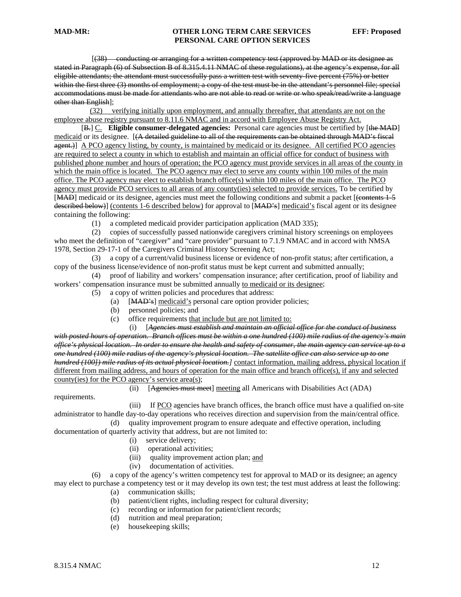[(38) conducting or arranging for a written competency test (approved by MAD or its designee as stated in Paragraph (6) of Subsection B of 8.315.4.11 NMAC of these regulations), at the agency's expense, for all eligible attendants; the attendant must successfully pass a written test with seventy-five percent (75%) or better within the first three (3) months of employment; a copy of the test must be in the attendant's personnel file; special accommodations must be made for attendants who are not able to read or write or who speak/read/write a language other than English];

 (32) verifying initially upon employment, and annually thereafter, that attendants are not on the employee abuse registry pursuant to 8.11.6 NMAC and in accord with Employee Abuse Registry Act.

 [B.] C. **Eligible consumer-delegated agencies:** Personal care agencies must be certified by [the MAD] medicaid or its designee. [(A detailed guideline to all of the requirements can be obtained through MAD's fiscal agent.) A PCO agency listing, by county, is maintained by medicaid or its designee. All certified PCO agencies are required to select a county in which to establish and maintain an official office for conduct of business with published phone number and hours of operation; the PCO agency must provide services in all areas of the county in which the main office is located. The PCO agency may elect to serve any county within 100 miles of the main office. The PCO agency may elect to establish branch office(s) within 100 miles of the main office. The PCO agency must provide PCO services to all areas of any county(ies) selected to provide services. To be certified by [MAD] medicaid or its designee, agencies must meet the following conditions and submit a packet [(contents 1-5 described below)] (contents 1-6 described below) for approval to [MAD's] medicaid's fiscal agent or its designee containing the following:

(1) a completed medicaid provider participation application (MAD 335);

 (2) copies of successfully passed nationwide caregivers criminal history screenings on employees who meet the definition of "caregiver" and "care provider" pursuant to 7.1.9 NMAC and in accord with NMSA 1978, Section 29-17-1 of the Caregivers Criminal History Screening Act;

 (3) a copy of a current/valid business license or evidence of non-profit status; after certification, a copy of the business license/evidence of non-profit status must be kept current and submitted annually;

 (4) proof of liability and workers' compensation insurance; after certification, proof of liability and workers' compensation insurance must be submitted annually to medicaid or its designee;

- (5) a copy of written policies and procedures that address:
	- (a) [MAD's] medicaid's personal care option provider policies;
	- (b) personnel policies; and
	- (c) office requirements that include but are not limited to:

 (i) [*Agencies must establish and maintain an official office for the conduct of business with posted hours of operation. Branch offices must be within a one hundred (100) mile radius of the agency's main office's physical location. In order to ensure the health and safety of consumer, the main agency can service up to a one hundred (100) mile radius of the agency's physical location. The satellite office can also service up to one hundred (100]) mile radius of its actual physical location.]* contact information, mailing address, physical location if different from mailing address, and hours of operation for the main office and branch office(s), if any and selected county(ies) for the PCO agency's service area(s);

(ii) [Agencies must meet] meeting all Americans with Disabilities Act (ADA)

requirements.

 (iii) If PCO agencies have branch offices, the branch office must have a qualified on-site administrator to handle day-to-day operations who receives direction and supervision from the main/central office. (d) quality improvement program to ensure adequate and effective operation, including

documentation of quarterly activity that address, but are not limited to:

- (i) service delivery;
- (ii) operational activities;
- (iii) quality improvement action plan; and
- (iv) documentation of activities.

 (6) a copy of the agency's written competency test for approval to MAD or its designee; an agency may elect to purchase a competency test or it may develop its own test; the test must address at least the following:

- (a) communication skills;
	- (b) patient/client rights, including respect for cultural diversity;
	- (c) recording or information for patient/client records;
	- (d) nutrition and meal preparation;
	- (e) housekeeping skills;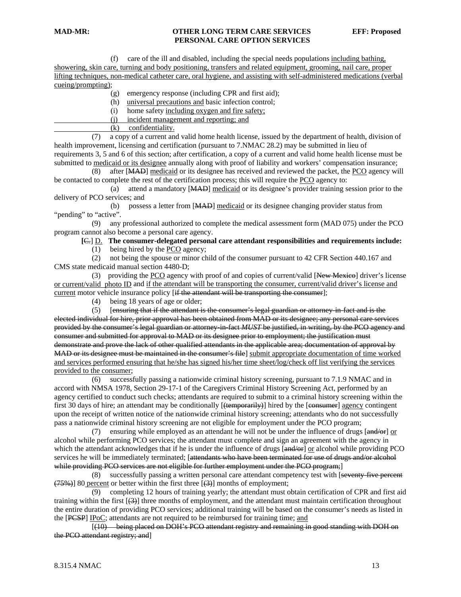(f) care of the ill and disabled, including the special needs populations including bathing, showering, skin care, turning and body positioning, transfers and related equipment, grooming, nail care, proper lifting techniques, non-medical catheter care, oral hygiene, and assisting with self-administered medications (verbal cueing/prompting);

- (g) emergency response (including CPR and first aid);
- (h) universal precautions and basic infection control;
- (i) home safety including oxygen and fire safety;
- (j) incident management and reporting; and
- (k) confidentiality.

 (7) a copy of a current and valid home health license, issued by the department of health, division of health improvement, licensing and certification (pursuant to 7.NMAC 28.2) may be submitted in lieu of requirements 3, 5 and 6 of this section; after certification, a copy of a current and valid home health license must be submitted to medicaid or its designee annually along with proof of liability and workers' compensation insurance;

 (8) after [MAD] medicaid or its designee has received and reviewed the packet, the PCO agency will be contacted to complete the rest of the certification process; this will require the PCO agency to:

 (a) attend a mandatory [MAD] medicaid or its designee's provider training session prior to the delivery of PCO services; and

 (b) possess a letter from [MAD] medicaid or its designee changing provider status from "pending" to "active".

 (9) any professional authorized to complete the medical assessment form (MAD 075) under the PCO program cannot also become a personal care agency.

 **[**C.] D. **The consumer-delegated personal care attendant responsibilities and requirements include:**

(1) being hired by the PCO agency;

 (2) not being the spouse or minor child of the consumer pursuant to 42 CFR Section 440.167 and CMS state medicaid manual section 4480-D;

(3) providing the PCO agency with proof of and copies of current/valid [New Mexico] driver's license or current/valid photo ID and if the attendant will be transporting the consumer, current/valid driver's license and current motor vehicle insurance policy [if the attendant will be transporting the consumer];

(4) being 18 years of age or older;

 $(5)$  [ensuring that if the attendant is the consumer's legal guardian or attorney in fact and is the elected individual for hire, prior approval has been obtained from MAD or its designee; any personal care services provided by the consumer's legal guardian or attorney in fact *MUST* be justified, in writing, by the PCO agency and consumer and submitted for approval to MAD or its designee prior to employment; the justification must demonstrate and prove the lack of other qualified attendants in the applicable area; documentation of approval by MAD or its designee must be maintained in the consumer's file] submit appropriate documentation of time worked and services performed ensuring that he/she has signed his/her time sheet/log/check off list verifying the services provided to the consumer;

 (6) successfully passing a nationwide criminal history screening, pursuant to 7.1.9 NMAC and in accord with NMSA 1978, Section 29-17-1 of the Caregivers Criminal History Screening Act, performed by an agency certified to conduct such checks; attendants are required to submit to a criminal history screening within the first 30 days of hire; an attendant may be conditionally [(temporarily)] hired by the [consumer] agency contingent upon the receipt of written notice of the nationwide criminal history screening; attendants who do not successfully pass a nationwide criminal history screening are not eligible for employment under the PCO program;

 (7) ensuring while employed as an attendant he will not be under the influence of drugs [and/or] or alcohol while performing PCO services; the attendant must complete and sign an agreement with the agency in which the attendant acknowledges that if he is under the influence of drugs [and/or] or alcohol while providing PCO services he will be immediately terminated; [attendants who have been terminated for use of drugs and/or alcohol while providing PCO services are not eligible for further employment under the PCO program;

 (8) successfully passing a written personal care attendant competency test with [seventy-five percent  $(75%)$ ] 80 percent or better within the first three  $(3)$ ] months of employment;

 (9) completing 12 hours of training yearly; the attendant must obtain certification of CPR and first aid training within the first [(3)] three months of employment, and the attendant must maintain certification throughout the entire duration of providing PCO services; additional training will be based on the consumer's needs as listed in the [PCSP] IPoC; attendants are not required to be reimbursed for training time; and

 [(10) being placed on DOH's PCO attendant registry and remaining in good standing with DOH on the PCO attendant registry; and]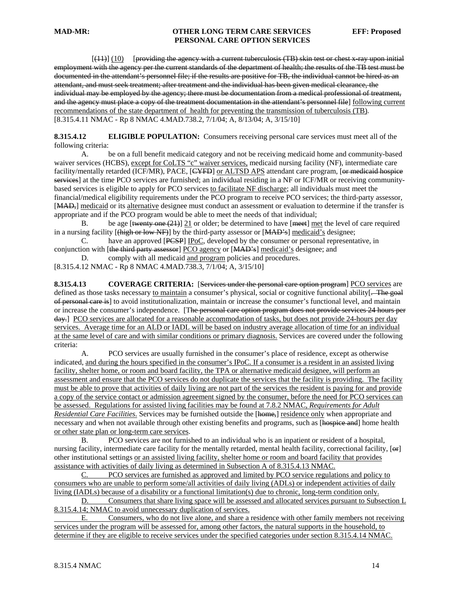$[$ (11)]  $(10)$  [providing the agency with a current tuberculosis (TB) skin test or chest x-ray upon initial employment with the agency per the current standards of the department of health; the results of the TB test must be documented in the attendant's personnel file; if the results are positive for TB, the individual cannot be hired as an attendant, and must seek treatment; after treatment and the individual has been given medical clearance, the individual may be employed by the agency; there must be documentation from a medical professional of treatment, and the agency must place a copy of the treatment documentation in the attendant's personnel file] following current recommendations of the state department of health for preventing the transmission of tuberculosis (TB). [8.315.4.11 NMAC - Rp 8 NMAC 4.MAD.738.2, 7/1/04; A, 8/13/04; A, 3/15/10]

**8.315.4.12 ELIGIBLE POPULATION:** Consumers receiving personal care services must meet all of the following criteria:

 A. be on a full benefit medicaid category and not be receiving medicaid home and community-based waiver services (HCBS), except for CoLTS "c" waiver services, medicaid nursing facility (NF), intermediate care facility/mentally retarded (ICF/MR), PACE, [CYFD] or ALTSD APS attendant care program, [or medicaid hospice services] at the time PCO services are furnished; an individual residing in a NF or ICF/MR or receiving communitybased services is eligible to apply for PCO services to facilitate NF discharge; all individuals must meet the financial/medical eligibility requirements under the PCO program to receive PCO services; the third-party assessor, [MAD<sub>7</sub>] medicaid or its alternative designee must conduct an assessment or evaluation to determine if the transfer is appropriate and if the PCO program would be able to meet the needs of that individual;

B. be age [twenty one  $(21)$ ]  $21$  or older; be determined to have [meet] met the level of care required in a nursing facility  $[\overline{\text{thigh}} \text{ or } \text{low N}]\$  by the third-party assessor or  $[\overline{\text{MAD's}}]$  medicaid's designee;

 C. have an approved [PCSP] IPoC, developed by the consumer or personal representative, in conjunction with [the third party assessor] PCO agency or [MAD's] medicaid's designee; and

D. comply with all medicaid and program policies and procedures.

[8.315.4.12 NMAC - Rp 8 NMAC 4.MAD.738.3, 7/1/04; A, 3/15/10]

**8.315.4.13** COVERAGE CRITERIA: [Services under the personal care option program] PCO services are defined as those tasks necessary to maintain a consumer's physical, social or cognitive functional ability. of personal care is] to avoid institutionalization, maintain or increase the consumer's functional level, and maintain or increase the consumer's independence. [The personal care option program does not provide services 24 hours per day.] PCO services are allocated for a reasonable accommodation of tasks, but does not provide 24-hours per day services. Average time for an ALD or IADL will be based on industry average allocation of time for an individual at the same level of care and with similar conditions or primary diagnosis. Services are covered under the following criteria:

 A. PCO services are usually furnished in the consumer's place of residence, except as otherwise indicated, and during the hours specified in the consumer's IPoC. If a consumer is a resident in an assisted living facility, shelter home, or room and board facility, the TPA or alternative medicaid designee, will perform an assessment and ensure that the PCO services do not duplicate the services that the facility is providing. The facility must be able to prove that activities of daily living are not part of the services the resident is paying for and provide a copy of the service contact or admission agreement signed by the consumer, before the need for PCO services can be assessed. Regulations for assisted living facilities may be found at 7.8.2 NMAC, *Requirements for Adult Residential Care Facilities*. Services may be furnished outside the [home,] residence only when appropriate and necessary and when not available through other existing benefits and programs, such as [hospice and] home health or other state plan or long-term care services.

 B. PCO services are not furnished to an individual who is an inpatient or resident of a hospital, nursing facility, intermediate care facility for the mentally retarded, mental health facility, correctional facility, [ $\Theta$ F] other institutional settings or an assisted living facility, shelter home or room and board facility that provides assistance with activities of daily living as determined in Subsection A of 8.315.4.13 NMAC.

C. PCO services are furnished as approved and limited by PCO service regulations and policy to consumers who are unable to perform some/all activities of daily living (ADLs) or independent activities of daily living (IADLs) because of a disability or a functional limitation(s) due to chronic, long-term condition only.

D. Consumers that share living space will be assessed and allocated services pursuant to Subsection L 8.315.4.14; NMAC to avoid unnecessary duplication of services.

E. Consumers, who do not live alone, and share a residence with other family members not receiving services under the program will be assessed for, among other factors, the natural supports in the household, to determine if they are eligible to receive services under the specified categories under section 8.315.4.14 NMAC.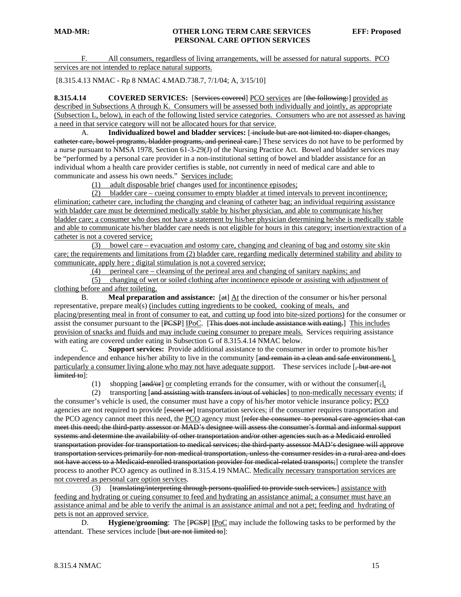F. All consumers, regardless of living arrangements, will be assessed for natural supports. PCO services are not intended to replace natural supports.

[8.315.4.13 NMAC - Rp 8 NMAC 4.MAD.738.7, 7/1/04; A, 3/15/10]

**8.315.4.14** COVERED SERVICES: [Services covered] PCO services are [the following:] provided as described in Subsections A through K. Consumers will be assessed both individually and jointly, as appropriate (Subsection L, below), in each of the following listed service categories. Consumers who are not assessed as having a need in that service category will not be allocated hours for that service.

A. **Individualized bowel and bladder services:** [ include but are not limited to: diaper changes, catheter care, bowel programs, bladder programs, and perineal care.] These services do not have to be performed by a nurse pursuant to NMSA 1978, Section 61-3-29(J) of the Nursing Practice Act. Bowel and bladder services may be "performed by a personal care provider in a non-institutional setting of bowel and bladder assistance for an individual whom a health care provider certifies is stable, not currently in need of medical care and able to communicate and assess his own needs." Services include:

(1) adult disposable brief changes used for incontinence episodes;

 (2) bladder care – cueing consumer to empty bladder at timed intervals to prevent incontinence; elimination; catheter care, including the changing and cleaning of catheter bag; an individual requiring assistance with bladder care must be determined medically stable by his/her physician, and able to communicate his/her bladder care; a consumer who does not have a statement by his/her physician determining he/she is medically stable and able to communicate his/her bladder care needs is not eligible for hours in this category; insertion/extraction of a catheter is not a covered service;

 (3) bowel care – evacuation and ostomy care, changing and cleaning of bag and ostomy site skin care; the requirements and limitations from (2) bladder care, regarding medically determined stability and ability to communicate, apply here ; digital stimulation is not a covered service;

(4) perineal care – cleansing of the perineal area and changing of sanitary napkins; and

 (5) changing of wet or soiled clothing after incontinence episode or assisting with adjustment of clothing before and after toileting.

B. **Meal preparation and assistance:** [at]  $\underline{At}$  the direction of the consumer or his/her personal representative, prepare meal(s) (includes cutting ingredients to be cooked, cooking of meals, and placing/presenting meal in front of consumer to eat, and cutting up food into bite-sized portions) for the consumer or assist the consumer pursuant to the [PCSP] IPoC. [This does not include assistance with eating.] This includes provision of snacks and fluids and may include cueing consumer to prepare meals. Services requiring assistance with eating are covered under eating in Subsection G of 8.315.4.14 NMAC below.

 C. **Support services:** Provide additional assistance to the consumer in order to promote his/her independence and enhance his/her ability to live in the community [and remain in a clean and safe environment.], particularly a consumer living alone who may not have adequate support. These services include [ $\frac{1}{2}$ but are not limited to]:

(1) shopping  $\left[\frac{and}{or}\right]$  or completing errands for the consumer, with or without the consumer $\left[\frac{1}{2}\right]$ ,

(2) transporting [and assisting with transfers in/out of vehicles] to non-medically necessary events; if

the consumer's vehicle is used, the consumer must have a copy of his/her motor vehicle insurance policy; PCO agencies are not required to provide [escort or] transportation services; if the consumer requires transportation and the PCO agency cannot meet this need, the PCO agency must [refer the consumer to personal care agencies that can meet this need; the third-party assessor or MAD's designee will assess the consumer's formal and informal support systems and determine the availability of other transportation and/or other agencies such as a Medicaid enrolled transportation provider for transportation to medical services; the third-party assessor MAD's designee will approve transportation services primarily for non-medical transportation, unless the consumer resides in a rural area and does not have access to a Medicaid-enrolled transportation provider for medical-related transports;] complete the transfer process to another PCO agency as outlined in 8.315.4.19 NMAC. Medically necessary transportation services are not covered as personal care option services.

 (3) [translating/interpreting through persons qualified to provide such services.] assistance with feeding and hydrating or cueing consumer to feed and hydrating an assistance animal; a consumer must have an assistance animal and be able to verify the animal is an assistance animal and not a pet; feeding and hydrating of pets is not an approved service.

D. **Hygiene/grooming**: The [PCSP] IPoC may include the following tasks to be performed by the attendant. These services include [but are not limited to]: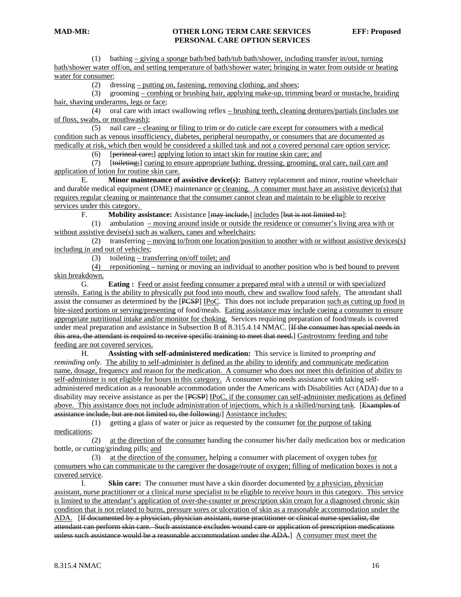(1) bathing – giving a sponge bath/bed bath/tub bath/shower, including transfer in/out, turning bath/shower water off/on, and setting temperature of bath/shower water; bringing in water from outside or heating water for consumer;

(2) dressing – putting on, fastening, removing clothing, and shoes;

 (3) grooming – combing or brushing hair, applying make-up, trimming beard or mustache, braiding hair, shaving underarms, legs or face;

 (4) oral care with intact swallowing reflex – brushing teeth, cleaning dentures/partials (includes use of floss, swabs, or mouthwash);

(5) nail care  $-\frac{\text{cleaning or filing to trim or do cuticle care except for consumers with a medical}}{1-\frac{\text{total}}{1-\frac{\text{total}}{1-\frac{\text{total}}{1-\frac{\text{total}}{1-\frac{\text{total}}{1-\frac{\text{total}}{1-\frac{\text{total}}{1-\frac{\text{total}}{1-\frac{\text{total}}{1-\frac{\text{total}}{1-\frac{\text{total}}{1-\frac{\text{total}}{1-\frac{\text{total}}{1-\frac{\text{total}}{1-\frac{\text{total}}{1-\frac{\text{total}}{1-\frac{\text{total}}{1-\frac{\text{total}}{1-\frac{\text{total}}{1-\frac{\text{total}}{1-\$ condition such as venous insufficiency, diabetes, peripheral neuropathy, or consumers that are documented as medically at risk, which then would be considered a skilled task and not a covered personal care option service;

(6) [perineal care;] applying lotion to intact skin for routine skin care; and

 (7) [toileting;] cueing to ensure appropriate bathing, dressing, grooming, oral care, nail care and application of lotion for routine skin care.

 E. **Minor maintenance of assistive device(s):** Battery replacement and minor, routine wheelchair and durable medical equipment (DME) maintenance or cleaning. A consumer must have an assistive device(s) that requires regular cleaning or maintenance that the consumer cannot clean and maintain to be eligible to receive services under this category.

F. **Mobility assistance:** Assistance [may include,] includes [but is not limited to]:

 (1) ambulation – moving around inside or outside the residence or consumer's living area with or without assistive devise(s) such as walkers, canes and wheelchairs;

(2) transferring – moving to/from one location/position to another with or without assistive devices(s) including in and out of vehicles;

(3) toileting – transferring on/off toilet; and

 (4) repositioning – turning or moving an individual to another position who is bed bound to prevent skin breakdown.

G. **Eating :** Feed or assist feeding consumer a prepared meal with a utensil or with specialized utensils. Eating is the ability to physically put food into mouth, chew and swallow food safely. The attendant shall assist the consumer as determined by the [PCSP] IPoC. This does not include preparation such as cutting up food in bite-sized portions or serving/presenting of food/meals. Eating assistance may include cueing a consumer to ensure appropriate nutritional intake and/or monitor for choking. Services requiring preparation of food/meals is covered under meal preparation and assistance in Subsection B of 8.315.4.14 NMAC. [If the consumer has special needs in this area, the attendant is required to receive specific training to meet that need.] Gastrostomy feeding and tube feeding are not covered services.

H. **Assisting with self-administered medication:** This service is limited to *prompting and reminding only*. The ability to self-administer is defined as the ability to identify and communicate medication name, dosage, frequency and reason for the medication. A consumer who does not meet this definition of ability to self-administer is not eligible for hours in this category. A consumer who needs assistance with taking selfadministered medication as a reasonable accommodation under the Americans with Disabilities Act (ADA) due to a disability may receive assistance as per the [PCSP] IPoC, if the consumer can self-administer medications as defined above. This assistance does not include administration of injections, which is a skilled/nursing task. [Examples of assistance include, but are not limited to, the following:] Assistance includes:

 (1) getting a glass of water or juice as requested by the consumer for the purpose of taking medications;

 (2) at the direction of the consumer handing the consumer his/her daily medication box or medication bottle, or cutting/grinding pills; and

 (3) at the direction of the consumer, helping a consumer with placement of oxygen tubes for consumers who can communicate to the caregiver the dosage/route of oxygen; filling of medication boxes is not a covered service.

I. **Skin care:** The consumer must have a skin disorder documented by a physician, physician assistant, nurse practitioner or a clinical nurse specialist to be eligible to receive hours in this category. This service is limited to the attendant's application of over-the-counter or prescription skin cream for a diagnosed chronic skin condition that is not related to burns, pressure sores or ulceration of skin as a reasonable accommodation under the ADA. [If documented by a physician, physician assistant, nurse practitioner or clinical nurse specialist, the attendant can perform skin care. Such assistance excludes wound care or application of prescription medications unless such assistance would be a reasonable accommodation under the ADA.] A consumer must meet the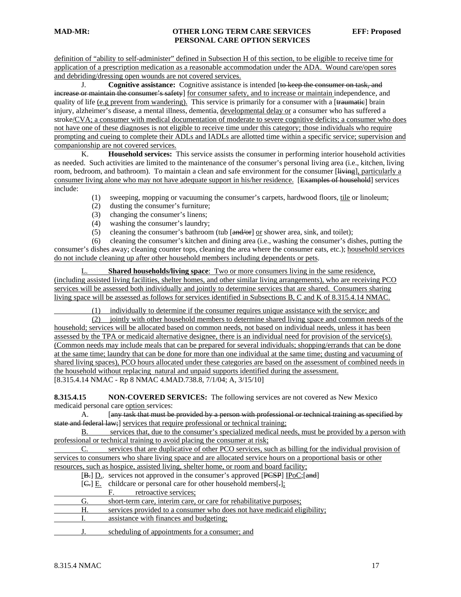definition of "ability to self-administer" defined in Subsection H of this section, to be eligible to receive time for application of a prescription medication as a reasonable accommodation under the ADA. Wound care/open sores and debriding/dressing open wounds are not covered services.

 J. **Cognitive assistance:** Cognitive assistance is intended [to keep the consumer on task, and increase or maintain the consumer's safety] for consumer safety, and to increase or maintain independence, and quality of life (e.g prevent from wandering). This service is primarily for a consumer with a [traumatic] brain injury, alzheimer's disease, a mental illness, dementia, developmental delay or a consumer who has suffered a stroke/CVA; a consumer with medical documentation of moderate to severe cognitive deficits; a consumer who does not have one of these diagnoses is not eligible to receive time under this category; those individuals who require prompting and cueing to complete their ADLs and IADLs are allotted time within a specific service; supervision and companionship are not covered services.

 K. **Household services:** This service assists the consumer in performing interior household activities as needed. Such activities are limited to the maintenance of the consumer's personal living area (i.e., kitchen, living room, bedroom, and bathroom). To maintain a clean and safe environment for the consumer [living], particularly a consumer living alone who may not have adequate support in his/her residence. [Examples of household] services include:

- (1) sweeping, mopping or vacuuming the consumer's carpets, hardwood floors, tile or linoleum;
- (2) dusting the consumer's furniture;
- (3) changing the consumer's linens;
- (4) washing the consumer's laundry;
- (5) cleaning the consumer's bathroom (tub  $[and/or]$  or shower area, sink, and toilet);

 (6) cleaning the consumer's kitchen and dining area (i.e., washing the consumer's dishes, putting the consumer's dishes away; cleaning counter tops, cleaning the area where the consumer eats, etc.); household services do not include cleaning up after other household members including dependents or pets.

L. **Shared households/living space**: Two or more consumers living in the same residence, (including assisted living facilities, shelter homes, and other similar living arrangements), who are receiving PCO services will be assessed both individually and jointly to determine services that are shared. Consumers sharing living space will be assessed as follows for services identified in Subsections B, C and K of 8.315.4.14 NMAC.

(1) individually to determine if the consumer requires unique assistance with the service; and

 (2) jointly with other household members to determine shared living space and common needs of the household; services will be allocated based on common needs, not based on individual needs, unless it has been assessed by the TPA or medicaid alternative designee, there is an individual need for provision of the service(s). (Common needs may include meals that can be prepared for several individuals; shopping/errands that can be done at the same time; laundry that can be done for more than one individual at the same time; dusting and vacuuming of shared living spaces), PCO hours allocated under these categories are based on the assessment of combined needs in the household without replacing natural and unpaid supports identified during the assessment. [8.315.4.14 NMAC - Rp 8 NMAC 4.MAD.738.8, 7/1/04; A, 3/15/10]

**8.315.4.15 NON-COVERED SERVICES:** The following services are not covered as New Mexico medicaid personal care option services:

A. [any task that must be provided by a person with professional or technical training as specified by state and federal law; services that require professional or technical training;

B. services that, due to the consumer's specialized medical needs, must be provided by a person with professional or technical training to avoid placing the consumer at risk;

C. services that are duplicative of other PCO services, such as billing for the individual provision of services to consumers who share living space and are allocated service hours on a proportional basis or other resources, such as hospice, assisted living, shelter home, or room and board facility;

- [B.] D.. services not approved in the consumer's approved [PCSP] IPoC;[and]
- [C.] E. childcare or personal care for other household members[.];
	- F. retroactive services;
- G. short-term care, interim care, or care for rehabilitative purposes;
- H. services provided to a consumer who does not have medicaid eligibility;
- I. assistance with finances and budgeting;
- J. scheduling of appointments for a consumer; and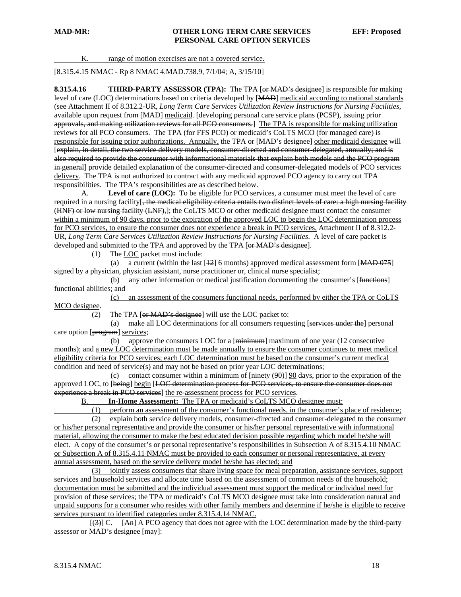K. range of motion exercises are not a covered service.

[8.315.4.15 NMAC - Rp 8 NMAC 4.MAD.738.9, 7/1/04; A, 3/15/10]

**8.315.4.16 THIRD-PARTY ASSESSOR (TPA):** The TPA [<del>or MAD's designee</del>] is responsible for making level of care (LOC) determinations based on criteria developed by [MAD] medicaid according to national standards (see Attachment II of 8.312.2-UR, *Long Term Care Services Utilization Review Instructions for Nursing Facilities,* available upon request from [MAD] medicaid. [developing personal care service plans (PCSP), issuing prior approvals, and making utilization reviews for all PCO consumers.] The TPA is responsible for making utilization reviews for all PCO consumers. The TPA (for FFS PCO) or medicaid's CoLTS MCO (for managed care) is responsible for issuing prior authorizations. Annually, the TPA or [MAD's designee] other medicaid designee will [explain, in detail, the two service delivery models, consumer-directed and consumer-delegated, annually; and is also required to provide the consumer with informational materials that explain both models and the PCO program in general] provide detailed explanation of the consumer-directed and consumer-delegated models of PCO services delivery. The TPA is not authorized to contract with any medicaid approved PCO agency to carry out TPA responsibilities. The TPA's responsibilities are as described below.

 A. **Level of care (LOC):** To be eligible for PCO services, a consumer must meet the level of care required in a nursing facility<sup>[+</sup>, the medical eligibility criteria entails two distinct levels of care: a high nursing facility (HNF) or low nursing facility (LNF),]; the CoLTS MCO or other medicaid designee must contact the consumer within a minimum of 90 days, prior to the expiration of the approved LOC to begin the LOC determination process for PCO services, to ensure the consumer does not experience a break in PCO services, Attachment II of 8.312.2- UR, *Long Term Care Services Utilization Review Instructions for Nursing Facilities*. A level of care packet is developed and submitted to the TPA and approved by the TPA [or MAD's designee].

(1) The LOC packet must include:

(a) a current (within the last  $[12]$  6 months) approved medical assessment form  $[MAD 075]$ signed by a physician, physician assistant, nurse practitioner or, clinical nurse specialist;

(b) any other information or medical justification documenting the consumer's [<del>functions]</del> functional abilities; and

 (c) an assessment of the consumers functional needs, performed by either the TPA or CoLTS MCO designee.

(2) The TPA [or MAD's designee] will use the LOC packet to:

 (a) make all LOC determinations for all consumers requesting [services under the] personal care option [program] services;

(b) approve the consumers LOC for a  $\overline{\text{[minimum]}}$  maximum of one year (12 consecutive months); and a new LOC determination must be made annually to ensure the consumer continues to meet medical eligibility criteria for PCO services; each LOC determination must be based on the consumer's current medical condition and need of service(s) and may not be based on prior year LOC determinations;

(c) contact consumer within a minimum of  $[\overline{\text{miney (90)}}]$  90 days, prior to the expiration of the approved LOC, to [being] begin [LOC determination process for PCO services, to ensure the consumer does not experience a break in PCO services] the re-assessment process for PCO services.

B. **In-Home Assessment:** The TPA or medicaid's CoLTS MCO designee must:

 (1) perform an assessment of the consumer's functional needs, in the consumer's place of residence; (2) explain both service delivery models, consumer-directed and consumer-delegated to the consumer or his/her personal representative and provide the consumer or his/her personal representative with informational material, allowing the consumer to make the best educated decision possible regarding which model he/she will elect. A copy of the consumer's or personal representative's responsibilities in Subsection A of 8.315.4.10 NMAC or Subsection A of 8.315.4.11 NMAC must be provided to each consumer or personal representative, at every annual assessment, based on the service delivery model he/she has elected; and

 (3) jointly assess consumers that share living space for meal preparation, assistance services, support services and household services and allocate time based on the assessment of common needs of the household; documentation must be submitted and the individual assessment must support the medical or individual need for provision of these services; the TPA or medicaid's CoLTS MCO designee must take into consideration natural and unpaid supports for a consumer who resides with other family members and determine if he/she is eligible to receive services pursuant to identified categories under 8.315.4.14 NMAC.

 $[\frac{(3)}{2}]$  C. [An] A PCO agency that does not agree with the LOC determination made by the third-party assessor or MAD's designee [may]: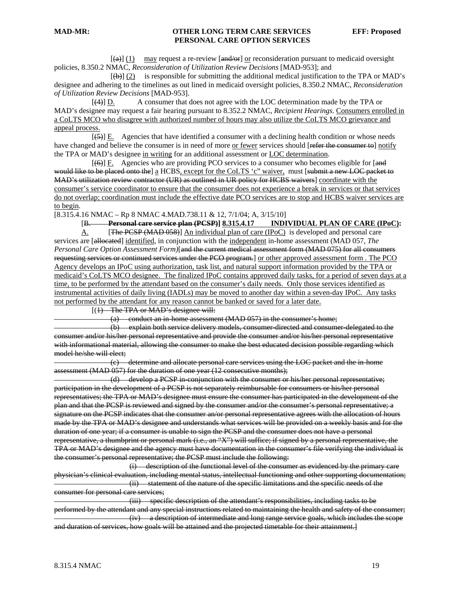$[\textbf{(a)}] (1)$  may request a re-review  $[\textbf{and}/\textbf{or}]$  or reconsideration pursuant to medicaid oversight policies, 8.350.2 NMAC, *Reconsideration of Utilization Review Decisions* [MAD-953]; and

 $[\phi]$  (2) is responsible for submitting the additional medical justification to the TPA or MAD's designee and adhering to the timelines as out lined in medicaid oversight policies, 8.350.2 NMAC, *Reconsideration of Utilization Review Decisions* [MAD-953].

 [(4)] D. A consumer that does not agree with the LOC determination made by the TPA or MAD's designee may request a fair hearing pursuant to 8.352.2 NMAC, *Recipient Hearings*. Consumers enrolled in a CoLTS MCO who disagree with authorized number of hours may also utilize the CoLTS MCO grievance and appeal process.

 $[65]$  E. Agencies that have identified a consumer with a declining health condition or whose needs have changed and believe the consumer is in need of more or fewer services should [refer the consumer to] notify the TPA or MAD's designee in writing for an additional assessment or LOC determination.

 $[66]$  F. Agencies who are providing PCO services to a consumer who becomes eligible for  $[4]$ would like to be placed onto the] a HCBS, except for the CoLTS 'c" waiver, must [submit a new LOC packet to MAD's utilization review contractor (UR) as outlined in UR policy for HCBS waivers] coordinate with the consumer's service coordinator to ensure that the consumer does not experience a break in services or that services do not overlap; coordination must include the effective date PCO services are to stop and HCBS waiver services are to begin.

[8.315.4.16 NMAC – Rp 8 NMAC 4.MAD.738.11 & 12, 7/1/04; A, 3/15/10]

[B. **Personal care service plan (PCSP)] 8.315.4.17 INDIVIDUAL PLAN OF CARE (IPoC):** 

A. [The PCSP (MAD 058)] An individual plan of care (IPoC) is developed and personal care services are [allocated] identified, in conjunction with the independent in-home assessment (MAD 057, *The Personal Care Option Assessment Form)*[and the current medical assessment form (MAD 075) for all consumers requesting services or continued services under the PCO program.] or other approved assessment form . The PCO Agency develops an IPoC using authorization, task list, and natural support information provided by the TPA or medicaid's CoLTS MCO designee. The finalized IPoC contains approved daily tasks, for a period of seven days at a time, to be performed by the attendant based on the consumer's daily needs. Only those services identified as instrumental activities of daily living (IADLs) may be moved to another day within a seven-day IPoC. Any tasks not performed by the attendant for any reason cannot be banked or saved for a later date.

 $[(1)$  The TPA or MAD's designee will:

(a) conduct an in-home assessment (MAD 057) in the consumer's home;

 (b) explain both service delivery models, consumer-directed and consumer-delegated to the consumer and/or his/her personal representative and provide the consumer and/or his/her personal representative with informational material, allowing the consumer to make the best educated decision possible regarding which model he/she will elect;

 (c) determine and allocate personal care services using the LOC packet and the in-home assessment (MAD 057) for the duration of one year (12 consecutive months);

 (d) develop a PCSP in-conjunction with the consumer or his/her personal representative; participation in the development of a PCSP is not separately reimbursable for consumers or his/her personal representatives; the TPA or MAD's designee must ensure the consumer has participated in the development of the plan and that the PCSP is reviewed and signed by the consumer and/or the consumer's personal representative; a signature on the PCSP indicates that the consumer an/or personal representative agrees with the allocation of hours made by the TPA or MAD's designee and understands what services will be provided on a weekly basis and for the duration of one year; if a consumer is unable to sign the PCSP and the consumer does not have a personal representative, a thumbprint or personal mark (i.e., an "X") will suffice; if signed by a personal representative, the TPA or MAD's designee and the agency must have documentation in the consumer's file verifying the individual is the consumer's personal representative; the PCSP must include the following:

 (i) description of the functional level of the consumer as evidenced by the primary care physician's clinical evaluation, including mental status, intellectual functioning and other supporting documentation; (ii) statement of the nature of the specific limitations and the specific needs of the consumer for personal care services;

 (iii) specific description of the attendant's responsibilities, including tasks to be performed by the attendant and any special instructions related to maintaining the health and safety of the consumer; (iv) a description of intermediate and long range service goals, which includes the scope and duration of services, how goals will be attained and the projected timetable for their attainment.]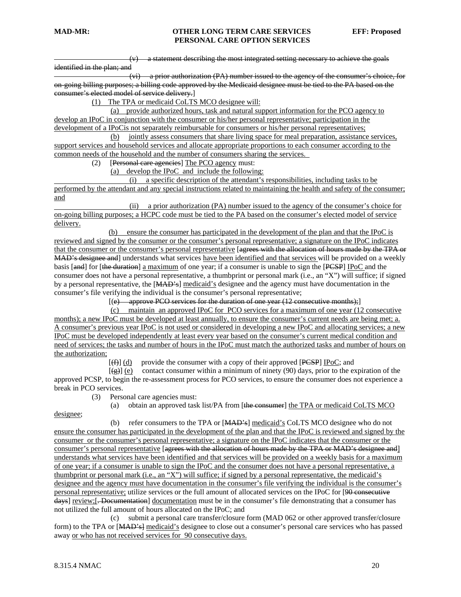(v) a statement describing the most integrated setting necessary to achieve the goals identified in the plan; and

 (vi) a prior authorization (PA) number issued to the agency of the consumer's choice, for on-going billing purposes; a billing code approved by the Medicaid designee must be tied to the PA based on the consumer's elected model of service delivery.]

(1) The TPA or medicaid CoLTS MCO designee will:

 (a) provide authorized hours, task and natural support information for the PCO agency to develop an IPoC in conjunction with the consumer or his/her personal representative; participation in the development of a IPoCis not separately reimbursable for consumers or his/her personal representatives;

 (b) jointly assess consumers that share living space for meal preparation, assistance services, support services and household services and allocate appropriate proportions to each consumer according to the common needs of the household and the number of consumers sharing the services.

(2) [Personal care agencies] The PCO agency must:

(a) develop the IPoC and include the following:

 (i) a specific description of the attendant's responsibilities, including tasks to be performed by the attendant and any special instructions related to maintaining the health and safety of the consumer; and

 (ii) a prior authorization (PA) number issued to the agency of the consumer's choice for on-going billing purposes; a HCPC code must be tied to the PA based on the consumer's elected model of service delivery.

 (b) ensure the consumer has participated in the development of the plan and that the IPoC is reviewed and signed by the consumer or the consumer's personal representative; a signature on the IPoC indicates that the consumer or the consumer's personal representative [agrees with the allocation of hours made by the TPA or MAD's designee and understands what services have been identified and that services will be provided on a weekly basis [and] for [the duration] a maximum of one year; if a consumer is unable to sign the [PCSP] IPoC and the consumer does not have a personal representative, a thumbprint or personal mark (i.e., an "X") will suffice; if signed by a personal representative, the [MAD's] medicaid's designee and the agency must have documentation in the consumer's file verifying the individual is the consumer's personal representative;

 $[(e)$  approve PCO services for the duration of one year  $(12)$  consecutive months);

 (c)maintain an approved IPoC for PCO services for a maximum of one year (12 consecutive months); a new IPoC must be developed at least annually, to ensure the consumer's current needs are being met; a. A consumer's previous year IPoC is not used or considered in developing a new IPoC and allocating services; a new IPoC must be developed independently at least every year based on the consumer's current medical condition and need of services; the tasks and number of hours in the IPoC must match the authorized tasks and number of hours on the authorization;

 $[f(f)]$  (d) provide the consumer with a copy of their approved  $[PCSP]$  IPoC; and

 $[\frac{\alpha}{\alpha}]$  (e) contact consumer within a minimum of ninety (90) days, prior to the expiration of the approved PCSP, to begin the re-assessment process for PCO services, to ensure the consumer does not experience a break in PCO services.

(3) Personal care agencies must:

(a) obtain an approved task list/PA from [the consumer] the TPA or medicaid CoLTS MCO

(b) refer consumers to the TPA or  $[MAD's]$  medicaid's CoLTS MCO designee who do not ensure the consumer has participated in the development of the plan and that the IPoC is reviewed and signed by the consumer or the consumer's personal representative; a signature on the IPoC indicates that the consumer or the consumer's personal representative [agrees with the allocation of hours made by the TPA or MAD's designee and] understands what services have been identified and that services will be provided on a weekly basis for a maximum of one year; if a consumer is unable to sign the IPoC and the consumer does not have a personal representative, a thumbprint or personal mark (i.e., an "X") will suffice; if signed by a personal representative, the medicaid's designee and the agency must have documentation in the consumer's file verifying the individual is the consumer's personal representative; utilize services or the full amount of allocated services on the IPoC for [90 consecutive days] review;[. Documentation] documentation must be in the consumer's file demonstrating that a consumer has not utilized the full amount of hours allocated on the IPoC; and

 (c) submit a personal care transfer/closure form (MAD 062 or other approved transfer/closure form) to the TPA or [MAD's] medicaid's designee to close out a consumer's personal care services who has passed away or who has not received services for 90 consecutive days.

designee;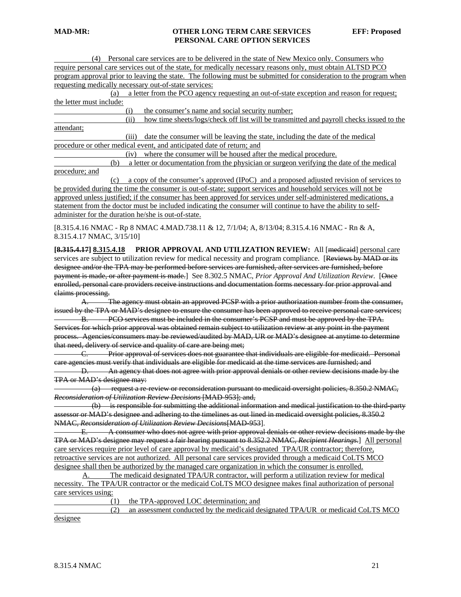| Personal care services are to be delivered in the state of New Mexico only. Consumers who                          |
|--------------------------------------------------------------------------------------------------------------------|
| require personal care services out of the state, for medically necessary reasons only, must obtain ALTSD PCO       |
| program approval prior to leaving the state. The following must be submitted for consideration to the program when |
| requesting medically necessary out-of-state services:                                                              |
| a letter from the PCO agency requesting an out-of-state exception and reason for request;<br>(a)                   |
| the letter must include:                                                                                           |
| the consumer's name and social security number;<br>(i)                                                             |
| how time sheets/logs/check off list will be transmitted and payroll checks issued to the<br>(ii)                   |
| attendant;                                                                                                         |
| date the consumer will be leaving the state, including the date of the medical<br>(iii)                            |
| procedure or other medical event, and anticipated date of return; and                                              |
| where the consumer will be housed after the medical procedure.<br>(iv)                                             |
| a letter or documentation from the physician or surgeon verifying the date of the medical<br>(b)                   |
| procedure; and                                                                                                     |
| a copy of the consumer's approved (IPoC) and a proposed adjusted revision of services to<br>(c)                    |
| be provided during the time the consumer is out-of-state; support services and household services will not be      |
| approved unless justified; if the consumer has been approved for services under self-administered medications, a   |
| statement from the doctor must be included indicating the consumer will continue to have the ability to self-      |
| administer for the duration he/she is out-of-state.                                                                |
| [8.315.4.16 NMAC - Rp 8 NMAC 4.MAD.738.11 & 12, 7/1/04; A, 8/13/04; 8.315.4.16 NMAC - Rn & A,                      |
| 8.315.4.17 NMAC, 3/15/10]                                                                                          |
|                                                                                                                    |
| PRIOR APPROVAL AND UTILIZATION REVIEW: All [medicaid] personal care<br>$[8,315,4.17]$ $8,315,4.18$                 |
| services are subject to utilization review for medical necessity and program compliance. [Reviews by MAD or its    |
| designee and/or the TPA may be performed before services are furnished, after services are furnished, before       |
| payment is made, or after payment is made.] See 8.302.5 NMAC, Prior Approval And Utilization Review. [Once         |
| enrolled, personal care providers receive instructions and documentation forms necessary for prior approval and    |
| claims processing.                                                                                                 |
| A. The agency must obtain an approved PCSP with a prior authorization number from the consumer,                    |
| issued by the TPA or MAD's designee to ensure the consumer has been approved to receive personal care services;    |
| B. PCO services must be included in the consumer's PCSP and must be approved by the TPA.                           |
| Services for which prior approval was obtained remain subject to utilization review at any point in the payment    |
| process. Agencies/consumers may be reviewed/audited by MAD, UR or MAD's designee at anytime to determine           |
| that need, delivery of service and quality of care are being met;                                                  |
| Prior approval of services does not guarantee that individuals are eligible for medicaid. Personal                 |
| care agencies must verify that individuals are eligible for medicaid at the time services are furnished; and       |
| D. An agency that does not agree with prior approval denials or other review decisions made by the                 |
| TPA or MAD's designee may:                                                                                         |
| (a) request a re-review or reconsideration pursuant to medicaid oversight policies, 8.350.2 NMAC,                  |
| Reconsideration of Utilization Review Decisions [MAD 953]; and,                                                    |
| (b) is responsible for submitting the additional information and medical justification to the third party          |
| assessor or MAD's designee and adhering to the timelines as out lined in medicaid oversight policies, 8.350.2      |
| NMAC, Reconsideration of Utilization Review Decisions[MAD 953].                                                    |
| E. A consumer who does not agree with prior approval denials or other review decisions made by the                 |
| TPA or MAD's designee may request a fair hearing pursuant to 8.352.2 NMAC, Recipient Hearings.] All personal       |
| care services require prior level of care approval by medicaid's designated TPA/UR contractor; therefore,          |
| retroactive services are not authorized. All personal care services provided through a medicaid CoLTS MCO          |
|                                                                                                                    |

designee shall then be authorized by the managed care organization in which the consumer is enrolled.

 A. The medicaid designated TPA/UR contractor, will perform a utilization review for medical necessity. The TPA/UR contractor or the medicaid CoLTS MCO designee makes final authorization of personal care services using:

(1) the TPA-approved LOC determination; and

 (2) an assessment conducted by the medicaid designated TPA/UR or medicaid CoLTS MCO designee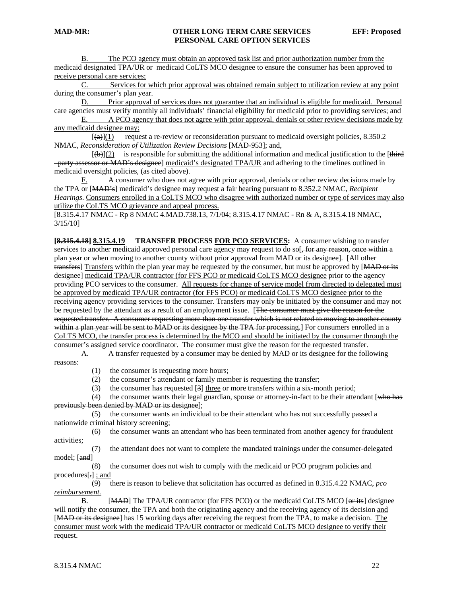B. The PCO agency must obtain an approved task list and prior authorization number from the medicaid designated TPA/UR or medicaid CoLTS MCO designee to ensure the consumer has been approved to receive personal care services;

C. Services for which prior approval was obtained remain subject to utilization review at any point during the consumer's plan year.

 D. Prior approval of services does not guarantee that an individual is eligible for medicaid. Personal care agencies must verify monthly all individuals' financial eligibility for medicaid prior to providing services; and

E. A PCO agency that does not agree with prior approval, denials or other review decisions made by any medicaid designee may:

 $[\textbf{(a)}](1)$  request a re-review or reconsideration pursuant to medicaid oversight policies, 8.350.2 NMAC, *Reconsideration of Utilization Review Decisions* [MAD-953]; and,

 $[(\theta)](2)$  is responsible for submitting the additional information and medical justification to the [third] –party assessor or MAD's designee] medicaid's designated TPA/UR and adhering to the timelines outlined in medicaid oversight policies, (as cited above).

F. A consumer who does not agree with prior approval, denials or other review decisions made by the TPA or [MAD's] medicaid's designee may request a fair hearing pursuant to 8.352.2 NMAC, *Recipient Hearings*. Consumers enrolled in a CoLTS MCO who disagree with authorized number or type of services may also utilize the CoLTS MCO grievance and appeal process.

[8.315.4.17 NMAC - Rp 8 NMAC 4.MAD.738.13, 7/1/04; 8.315.4.17 NMAC - Rn & A, 8.315.4.18 NMAC, 3/15/10]

**[8.315.4.18] 8.315.4.19 TRANSFER PROCESS FOR PCO SERVICES:** A consumer wishing to transfer services to another medicaid approved personal care agency may request to do so[, for any reason, once within a plan year or when moving to another county without prior approval from MAD or its designee]. [All other transfers] Transfers within the plan year may be requested by the consumer, but must be approved by [MAD or its designee] medicaid TPA/UR contractor (for FFS PCO or medicaid CoLTS MCO designee prior to the agency providing PCO services to the consumer. All requests for change of service model from directed to delegated must be approved by medicaid TPA/UR contractor (for FFS PCO) or medicaid CoLTS MCO designee prior to the receiving agency providing services to the consumer. Transfers may only be initiated by the consumer and may not be requested by the attendant as a result of an employment issue. [The consumer must give the reason for the requested transfer. A consumer requesting more than one transfer which is not related to moving to another county within a plan year will be sent to MAD or its designee by the TPA for processing.] For consumers enrolled in a CoLTS MCO, the transfer process is determined by the MCO and should be initiated by the consumer through the consumer's assigned service coordinator. The consumer must give the reason for the requested transfer.

 A. A transfer requested by a consumer may be denied by MAD or its designee for the following reasons:

(1) the consumer is requesting more hours;

(2) the consumer's attendant or family member is requesting the transfer;

(3) the consumer has requested [3] three or more transfers within a six-month period;

(4) the consumer wants their legal guardian, spouse or attorney-in-fact to be their attendant [who has previously been denied by MAD or its designee];

 (5) the consumer wants an individual to be their attendant who has not successfully passed a nationwide criminal history screening;

 (6) the consumer wants an attendant who has been terminated from another agency for fraudulent activities;

 (7) the attendant does not want to complete the mandated trainings under the consumer-delegated model; [and]

 (8) the consumer does not wish to comply with the medicaid or PCO program policies and procedures[.] ; and

 (9) there is reason to believe that solicitation has occurred as defined in 8.315.4.22 NMAC, *pco reimbursement.* 

B. [MAD] The TPA/UR contractor (for FFS PCO) or the medicaid CoLTS MCO [or its] designee will notify the consumer, the TPA and both the originating agency and the receiving agency of its decision and [MAD or its designee] has 15 working days after receiving the request from the TPA, to make a decision. The consumer must work with the medicaid TPA/UR contractor or medicaid CoLTS MCO designee to verify their request.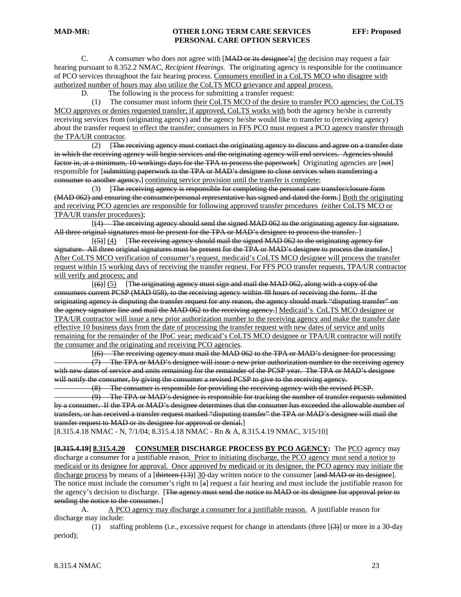C. A consumer who does not agree with [MAD or its designee's] the decision may request a fair hearing pursuant to 8.352.2 NMAC, *Recipient Hearings*. The originating agency is responsible for the continuance of PCO services throughout the fair hearing process. Consumers enrolled in a CoLTS MCO who disagree with authorized number of hours may also utilize the CoLTS MCO grievance and appeal process.

D. The following is the process for submitting a transfer request:

 (1) The consumer must inform their CoLTS MCO of the desire to transfer PCO agencies; the CoLTS MCO approves or denies requested transfer; if approved, CoLTS works with both the agency he/she is currently receiving services from (originating agency) and the agency he/she would like to transfer to (receiving agency) about the transfer request to effect the transfer; consumers in FFS PCO must request a PCO agency transfer through the TPA/UR contractor.

 (2) [The receiving agency must contact the originating agency to discuss and agree on a transfer date in which the receiving agency will begin services and the originating agency will end services. Agencies should factor in, at a minimum, 10 workings days for the TPA to process the paperwork | Originating agencies are [not] responsible for [submitting paperwork to the TPA or MAD's designee to close services when transferring a consumer to another agency.] continuing service provision until the transfer is complete;

 (3) [The receiving agency is responsible for completing the personal care transfer/closure form (MAD 062) and ensuring the consumer/personal representative has signed and dated the form.] Both the originating and receiving PCO agencies are responsible for following approved transfer procedures (either CoLTS MCO or TPA/UR transfer procedures);

 [(4) The receiving agency should send the signed MAD 062 to the originating agency for signature. All three original signatures must be present for the TPA or MAD's designee to process the transfer.

 $[5]$  (4) [The receiving agency should mail the signed MAD 062 to the originating agency for signature. All three original signatures must be present for the TPA or MAD's designee to process the transfer. After CoLTS MCO verification of consumer's request, medicaid's CoLTS MCO designee will process the transfer request within 15 working days of receiving the transfer request. For FFS PCO transfer requests, TPA/UR contractor will verify and process; and

 $(6)$ ] (5) [The originating agency must sign and mail the MAD 062, along with a copy of the consumers current PCSP (MAD 058), to the receiving agency within 48 hours of receiving the form. If the originating agency is disputing the transfer request for any reason, the agency should mark "disputing transfer" on the agency signature line and mail the MAD 062 to the receiving agency.] Medicaid's CoLTS MCO designee or TPA/UR contractor will issue a new prior authorization number to the receiving agency and make the transfer date effective 10 business days from the date of processing the transfer request with new dates of service and units remaining for the remainder of the IPoC year; medicaid's CoLTS MCO designee or TPA/UR contractor will notify the consumer and the originating and receiving PCO agencies.

[(6) The receiving agency must mail the MAD 062 to the TPA or MAD's designee for processing;

 (7) The TPA or MAD's designee will issue a new prior authorization number to the receiving agency with new dates of service and units remaining for the remainder of the PCSP year. The TPA or MAD's designee will notify the consumer, by giving the consumer a revised PCSP to give to the receiving agency.

(8) The consumer is responsible for providing the receiving agency with the revised PCSP.

 (9) The TPA or MAD's designee is responsible for tracking the number of transfer requests submitted by a consumer. If the TPA or MAD's designee determines that the consumer has exceeded the allowable number of transfers, or has received a transfer request marked "disputing transfer" the TPA or MAD's designee will mail the transfer request to MAD or its designee for approval or denial.]

[8.315.4.18 NMAC - N, 7/1/04; 8.315.4.18 NMAC - Rn & A, 8.315.4.19 NMAC, 3/15/10]

**[8.315.4.19] 8.315.4.20 CONSUMER DISCHARGE PROCESS BY PCO AGENCY:** The PCO agency may discharge a consumer for a justifiable reason. Prior to initiating discharge, the PCO agency must send a notice to medicaid or its designee for approval. Once approved by medicaid or its designee, the PCO agency may initiate the discharge process by means of a [thirteen (13)] 30-day written notice to the consumer [and MAD or its designee]. The notice must include the consumer's right to [a] request a fair hearing and must include the justifiable reason for the agency's decision to discharge. [The agency must send the notice to MAD or its designee for approval prior to sending the notice to the consumer.]

 A. A PCO agency may discharge a consumer for a justifiable reason. A justifiable reason for discharge may include:

 (1) staffing problems (i.e., excessive request for change in attendants (three [(3)] or more in a 30-day period);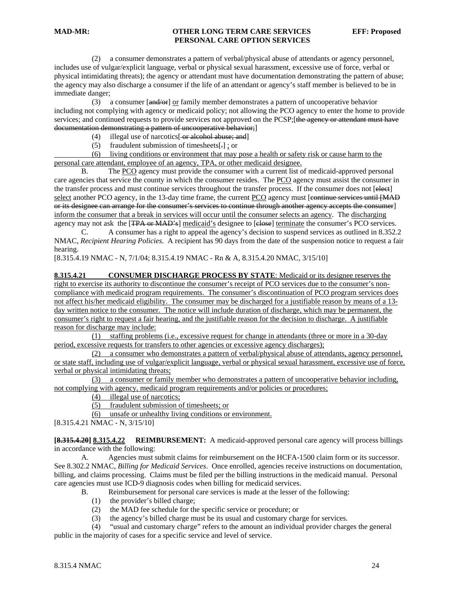(2) a consumer demonstrates a pattern of verbal/physical abuse of attendants or agency personnel, includes use of vulgar/explicit language, verbal or physical sexual harassment, excessive use of force, verbal or physical intimidating threats); the agency or attendant must have documentation demonstrating the pattern of abuse; the agency may also discharge a consumer if the life of an attendant or agency's staff member is believed to be in immediate danger;

 (3) a consumer [and/or] or family member demonstrates a pattern of uncooperative behavior including not complying with agency or medicaid policy; not allowing the PCO agency to enter the home to provide services; and continued requests to provide services not approved on the PCSP; [the agency or attendant must have documentation demonstrating a pattern of uncooperative behavior;]

- (4) illegal use of narcotics $[-\text{er}\,\text{algebra}\,]$
- (5) fraudulent submission of timesheets[.] ; or

 (6) living conditions or environment that may pose a health or safety risk or cause harm to the personal care attendant, employee of an agency, TPA, or other medicaid designee.

 B. The PCO agency must provide the consumer with a current list of medicaid-approved personal care agencies that service the county in which the consumer resides. The PCO agency must assist the consumer in the transfer process and must continue services throughout the transfer process. If the consumer does not [elect] select another PCO agency, in the 13-day time frame, the current PCO agency must [continue services until [MAD] or its designee can arrange for the consumer's services to continue through another agency accepts the consumer] inform the consumer that a break in services will occur until the consumer selects an agency. The discharging agency may not ask the [<del>TPA or MAD's</del>] medicaid's designee to [elose] terminate the consumer's PCO services.

 C. A consumer has a right to appeal the agency's decision to suspend services as outlined in 8.352.2 NMAC, *Recipient Hearing Policies*. A recipient has 90 days from the date of the suspension notice to request a fair hearing.

[8.315.4.19 NMAC - N, 7/1/04; 8.315.4.19 NMAC - Rn & A, 8.315.4.20 NMAC, 3/15/10]

#### **8.315.4.21 CONSUMER DISCHARGE PROCESS BY STATE**: Medicaid or its designee reserves the right to exercise its authority to discontinue the consumer's receipt of PCO services due to the consumer's noncompliance with medicaid program requirements. The consumer's discontinuation of PCO program services does not affect his/her medicaid eligibility. The consumer may be discharged for a justifiable reason by means of a 13 day written notice to the consumer. The notice will include duration of discharge, which may be permanent, the consumer's right to request a fair hearing, and the justifiable reason for the decision to discharge. A justifiable reason for discharge may include:

 (1) staffing problems (i.e., excessive request for change in attendants (three or more in a 30-day period, excessive requests for transfers to other agencies or excessive agency discharges);

 (2) a consumer who demonstrates a pattern of verbal/physical abuse of attendants, agency personnel, or state staff, including use of vulgar/explicit language, verbal or physical sexual harassment, excessive use of force, verbal or physical intimidating threats;

 (3) a consumer or family member who demonstrates a pattern of uncooperative behavior including, not complying with agency, medicaid program requirements and/or policies or procedures;

(4) illegal use of narcotics;

(5) fraudulent submission of timesheets; or

(6) unsafe or unhealthy living conditions or environment.

[8.315.4.21 NMAC - N, 3/15/10]

**[8.315.4.20] 8.315.4.22 REIMBURSEMENT:** A medicaid-approved personal care agency will process billings in accordance with the following:

 A. Agencies must submit claims for reimbursement on the HCFA-1500 claim form or its successor. See 8.302.2 NMAC, *Billing for Medicaid Services*. Once enrolled, agencies receive instructions on documentation, billing, and claims processing. Claims must be filed per the billing instructions in the medicaid manual. Personal care agencies must use ICD-9 diagnosis codes when billing for medicaid services.

- B. Reimbursement for personal care services is made at the lesser of the following:
	- (1) the provider's billed charge;
	- (2) the MAD fee schedule for the specific service or procedure; or
	- (3) the agency's billed charge must be its usual and customary charge for services.
- (4) "usual and customary charge" refers to the amount an individual provider charges the general

public in the majority of cases for a specific service and level of service.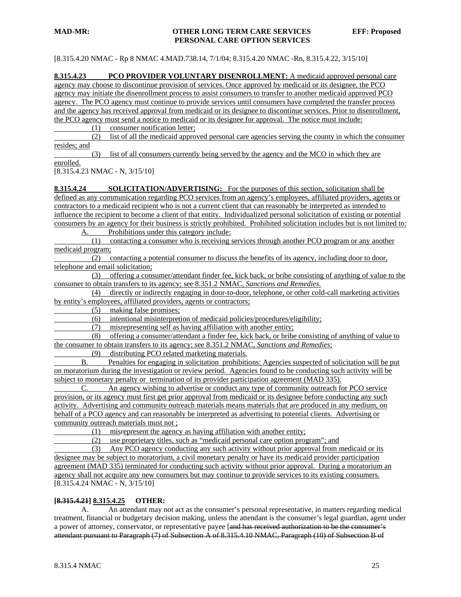[8.315.4.20 NMAC - Rp 8 NMAC 4.MAD.738.14, 7/1/04; 8.315.4.20 NMAC -Rn, 8.315.4.22, 3/15/10]

**8.315.4.23 PCO PROVIDER VOLUNTARY DISENROLLMENT:** A medicaid approved personal care agency may choose to discontinue provision of services. Once approved by medicaid or its designee, the PCO agency may initiate the disenrollment process to assist consumers to transfer to another medicaid approved PCO agency. The PCO agency must continue to provide services until consumers have completed the transfer process and the agency has received approval from medicaid or its designee to discontinue services. Prior to disenrollment, the PCO agency must send a notice to medicaid or its designee for approval. The notice must include:

(1) consumer notification letter;

 (2) list of all the medicaid approved personal care agencies serving the county in which the consumer resides; and

 (3) list of all consumers currently being served by the agency and the MCO in which they are enrolled.

[8.315.4.23 NMAC - N, 3/15/10]

**8.315.4.24 SOLICITATION/ADVERTISING:** For the purposes of this section, solicitation shall be defined as any communication regarding PCO services from an agency's employees, affiliated providers, agents or contractors to a medicaid recipient who is not a current client that can reasonably be interpreted as intended to influence the recipient to become a client of that entity. Individualized personal solicitation of existing or potential consumers by an agency for their business is strictly prohibited. Prohibited solicitation includes but is not limited to:

A. Prohibitions under this category include:

 (1) contacting a consumer who is receiving services through another PCO program or any another medicaid program;

 (2) contacting a potential consumer to discuss the benefits of its agency, including door to door, telephone and email solicitation;

 (3) offering a consumer/attendant finder fee, kick back, or bribe consisting of anything of value to the consumer to obtain transfers to its agency; see 8.351.2 NMAC, *Sanctions and Remedies*.

 (4) directly or indirectly engaging in door-to-door, telephone, or other cold-call marketing activities by entity's employees, affiliated providers, agents or contractors;

(5) making false promises;

(6) intentional misinterpretion of medicaid policies/procedures/eligibility;

(7) misrepresenting self as having affiliation with another entity;

 (8) offering a consumer/attendant a finder fee, kick back, or bribe consisting of anything of value to the consumer to obtain transfers to its agency; see 8.351.2 NMAC, *Sanctions and Remedies*;

(9) distributing PCO related marketing materials.

B. Penalties for engaging in solicitation prohibitions: Agencies suspected of solicitation will be put on moratorium during the investigation or review period. Agencies found to be conducting such activity will be subject to monetary penalty or termination of its provider participation agreement (MAD 335).

C. An agency wishing to advertise or conduct any type of community outreach for PCO service provision, or its agency must first get prior approval from medicaid or its designee before conducting any such activity. Advertising and community outreach materials means materials that are produced in any medium, on behalf of a PCO agency and can reasonably be interpreted as advertising to potential clients. Advertising or community outreach materials must not ;

(1) misrepresent the agency as having affiliation with another entity;

(2) use proprietary titles, such as "medicaid personal care option program"; and

 (3) Any PCO agency conducting any such activity without prior approval from medicaid or its designee may be subject to moratorium, a civil monetary penalty or have its medicaid provider participation agreement (MAD 335) terminated for conducting such activity without prior approval. During a moratorium an agency shall not acquire any new consumers but may continue to provide services to its existing consumers. [8.315.4.24 NMAC - N, 3/15/10]

#### **[8.315.4.21] 8.315.4.25 OTHER:**

 A. An attendant may not act as the consumer's personal representative, in matters regarding medical treatment, financial or budgetary decision making, unless the attendant is the consumer's legal guardian, agent under a power of attorney, conservator, or representative payee [and has received authorization to be the consumer's attendant pursuant to Paragraph (7) of Subsection A of 8.315.4.10 NMAC, Paragraph (10) of Subsection B of